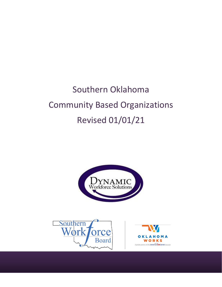# Southern Oklahoma Community Based Organizations Revised 01/01/21





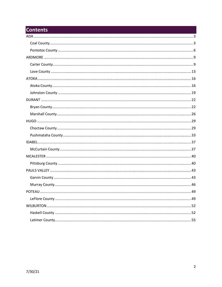#### **Contents**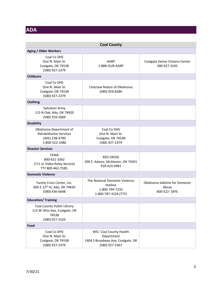## <span id="page-2-0"></span>**ADA**

<span id="page-2-1"></span>

| <b>Coal County</b>                                                                           |                                                                                              |                                                          |
|----------------------------------------------------------------------------------------------|----------------------------------------------------------------------------------------------|----------------------------------------------------------|
| <b>Aging / Older Workers</b>                                                                 |                                                                                              |                                                          |
| Coal Co DHS<br>One N. Main St.<br>Coalgate, OK 74538<br>(580) 927-2379                       | AARP<br>1-888-OUR-AARP                                                                       | Coalgate Senior Citizens Center<br>580-927-3245          |
| <b>Childcare</b>                                                                             |                                                                                              |                                                          |
| Coal Co DHS<br>One N. Main St.<br>Coalgate, OK 74538<br>(580) 927-2379                       | Choctaw Nation of Oklahoma<br>(580) 924-8280                                                 |                                                          |
| Clothing                                                                                     |                                                                                              |                                                          |
| Salvation Army<br>115 N Oak, Ada, OK 74820<br>(580) 559-2669                                 |                                                                                              |                                                          |
| <b>Disability</b>                                                                            |                                                                                              |                                                          |
| Oklahoma Department of<br><b>Rehabilitation Services</b><br>(405) 238-4700<br>1-800-522-1086 | Coal Co DHS<br>One N. Main St.<br>Coalgate, OK 74538<br>(580) 927-2379                       |                                                          |
| <b>Disaster Services</b>                                                                     |                                                                                              |                                                          |
| <b>FEMA</b><br>800-621-3362<br>(711 or Video Relay Service)<br>TTY 800-462-7585.             | <b>RED CROSS</b><br>200 E. Adams, McAlester, OK 74501<br>918-423-0481                        |                                                          |
| <b>Domestic Violence</b>                                                                     |                                                                                              |                                                          |
| Family Crisis Center, Inc.<br>605 E 12th St, Ada, OK 74820<br>(580) 436-6648                 | The National Domestic Violence<br>Hotline<br>1-800-799-7233<br>1-800-787-3224 (TTY)          | Oklahoma Safeline for Domestic<br>Abuse<br>800-522- SAFE |
| <b>Education/Training</b>                                                                    |                                                                                              |                                                          |
| Coal County Public Library<br>115 W Ohio Ave, Coalgate, OK<br>74538<br>(580) 927-3103        |                                                                                              |                                                          |
| Food                                                                                         |                                                                                              |                                                          |
| Coal Co DHS<br>One N. Main St.<br>Coalgate, OK 74538<br>(580) 927-2379                       | WIC- Coal County Health<br>Department<br>1404 S Broadway Ave, Coalgate, OK<br>(580) 927-2367 |                                                          |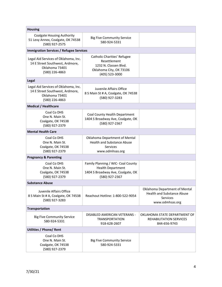| <b>Housing</b>                                                                                              |                                                                                                                       |                                                                                                   |
|-------------------------------------------------------------------------------------------------------------|-----------------------------------------------------------------------------------------------------------------------|---------------------------------------------------------------------------------------------------|
| <b>Coalgate Housing Authority</b><br>51 Levy Annex, Coalgate, OK 74538<br>(580) 927-2575                    | <b>Big Five Community Service</b><br>580-924-5331                                                                     |                                                                                                   |
| <b>Immigration Services / Refugee Services</b>                                                              |                                                                                                                       |                                                                                                   |
| Legal Aid Services of Oklahoma, Inc.<br>14 E Street Southwest, Ardmore,<br>Oklahoma 73401<br>(580) 226-4863 | Catholic Charities' Refugee<br>Resettlement<br>1232 N. Classen Blvd.<br>Oklahoma City, OK 73106<br>(405) 523-3000     |                                                                                                   |
| Legal                                                                                                       |                                                                                                                       |                                                                                                   |
| Legal Aid Services of Oklahoma, Inc.<br>14 E Street Southwest, Ardmore,<br>Oklahoma 73401<br>(580) 226-4863 | Juvenile Affairs Office<br>8 S Main St # A, Coalgate, OK 74538<br>(580) 927-3283                                      |                                                                                                   |
| <b>Medical / Healthcare</b>                                                                                 |                                                                                                                       |                                                                                                   |
| Coal Co DHS<br>One N. Main St.<br>Coalgate, OK 74538<br>(580) 927-2379                                      | Coal County Health Department<br>1404 S Broadway Ave, Coalgate, OK<br>(580) 927-2367                                  |                                                                                                   |
| <b>Mental Health Care</b>                                                                                   |                                                                                                                       |                                                                                                   |
| Coal Co DHS<br>One N. Main St.<br>Coalgate, OK 74538<br>(580) 927-2379                                      | Oklahoma Department of Mental<br><b>Health and Substance Abuse</b><br><b>Services</b><br>www.odmhsas.org              |                                                                                                   |
| <b>Pregnancy &amp; Parenting</b>                                                                            |                                                                                                                       |                                                                                                   |
| Coal Co DHS<br>One N. Main St.<br>Coalgate, OK 74538<br>(580) 927-2379                                      | Family Planning / WIC- Coal County<br><b>Health Department</b><br>1404 S Broadway Ave, Coalgate, OK<br>(580) 927-2367 |                                                                                                   |
| <b>Substance Abuse</b>                                                                                      |                                                                                                                       |                                                                                                   |
| Juvenile Affairs Office<br>8 S Main St # A, Coalgate, OK 74538<br>(580) 927-3283                            | Reachout Hotline: 1-800-522-9054                                                                                      | Oklahoma Department of Mental<br><b>Health and Substance Abuse</b><br>Services<br>www.odmhsas.org |
| <b>Transportation</b>                                                                                       |                                                                                                                       |                                                                                                   |
| <b>Big Five Community Service</b><br>580-924-5331                                                           | DISABLED AMERICAN VETERANS -<br><b>TRANSPORTATION</b><br>918-628-2607                                                 | OKLAHOMA STATE DEPARTMENT OF<br>REHABILITATION SERVICES<br>844-656-9743                           |
| <b>Utilities / Phone/ Rent</b>                                                                              |                                                                                                                       |                                                                                                   |
| Coal Co DHS<br>One N. Main St.<br>Coalgate, OK 74538<br>(580) 927-2379                                      | <b>Big Five Community Service</b><br>580-924-5331                                                                     |                                                                                                   |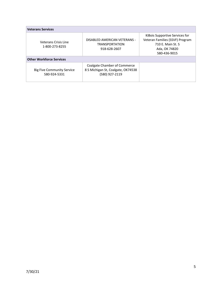| <b>Veterans Services</b>                          |                                                                                      |                                                                                                                         |
|---------------------------------------------------|--------------------------------------------------------------------------------------|-------------------------------------------------------------------------------------------------------------------------|
| Veterans Crisis Line<br>1-800-273-8255            | DISABLED AMERICAN VETERANS -<br><b>TRANSPORTATION</b><br>918-628-2607                | KiBois Supportive Services for<br>Veteran Families (SSVF) Program<br>710 E. Main St. S<br>Ada, OK 74820<br>580-436-9015 |
| <b>Other Workforce Services</b>                   |                                                                                      |                                                                                                                         |
| <b>Big Five Community Service</b><br>580-924-5331 | Coalgate Chamber of Commerce<br>8 S Michigan St, Coalgate, OK74538<br>(580) 927-2119 |                                                                                                                         |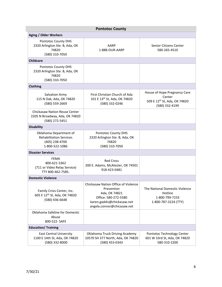<span id="page-5-0"></span>

| <b>Pontotoc County</b>                                                                       |                                                                                                                                                        |                                                                                          |
|----------------------------------------------------------------------------------------------|--------------------------------------------------------------------------------------------------------------------------------------------------------|------------------------------------------------------------------------------------------|
| <b>Aging / Older Workers</b>                                                                 |                                                                                                                                                        |                                                                                          |
| Pontotoc County DHS<br>2320 Arlington Ste. B, Ada, OK<br>74820<br>(580) 310-7050             | AARP<br>1-888-OUR-AARP                                                                                                                                 | Senior Citizens Center<br>580-265-4510                                                   |
| <b>Childcare</b>                                                                             |                                                                                                                                                        |                                                                                          |
| Pontotoc County DHS<br>2320 Arlington Ste. B, Ada, OK<br>74820<br>(580) 310-7050             |                                                                                                                                                        |                                                                                          |
| Clothing                                                                                     |                                                                                                                                                        |                                                                                          |
| Salvation Army<br>115 N Oak, Ada, OK 74820<br>(580) 559-2669                                 | First Christian Church of Ada<br>101 E 13 <sup>th</sup> St, Ada, OK 74820<br>(580) 332-0246                                                            | House of Hope Pregnancy Care<br>Center<br>509 E 12th St, Ada, OK 74820<br>(580) 332-4199 |
| Chickasaw Nation Reuse Center<br>2205 N Broadway, Ada, OK 74820<br>(580) 272-5451            |                                                                                                                                                        |                                                                                          |
| <b>Disability</b>                                                                            |                                                                                                                                                        |                                                                                          |
| Oklahoma Department of<br><b>Rehabilitation Services</b><br>(405) 238-4700<br>1-800-522-1086 | Pontotoc County DHS<br>2320 Arlington Ste. B, Ada, OK<br>74820<br>(580) 310-7050                                                                       |                                                                                          |
| <b>Disaster Services</b>                                                                     |                                                                                                                                                        |                                                                                          |
| <b>FEMA</b><br>800-621-3362<br>(711 or Video Relay Service)<br>TTY 800-462-7585.             | <b>Red Cross</b><br>200 E. Adams, McAlester, OK 74501<br>918-423-0481                                                                                  |                                                                                          |
| <b>Domestic Violence</b>                                                                     |                                                                                                                                                        |                                                                                          |
| Family Crisis Center, Inc.<br>605 E 12th St, Ada, OK 74820<br>(580) 436-6648                 | Chickasaw Nation Office of Violence<br>Prevention<br>Ada, OK 74821<br>Office: 580-272-5580<br>karen.gaddis@chickasaw.net<br>angela.connor@chicasaw.net | The National Domestic Violence<br>Hotline<br>1-800-799-7233<br>1-800-787-3224 (TTY)      |
| Oklahoma Safeline for Domestic<br>Abuse<br>800-522- SAFE                                     |                                                                                                                                                        |                                                                                          |
| <b>Education/ Training</b>                                                                   |                                                                                                                                                        |                                                                                          |
| <b>East Central University</b><br>1100 E 14th St, Ada, OK 74820<br>(580) 332-8000            | Oklahoma Truck Driving Academy<br>10570 SH 377 North, Ada, OK 74820<br>(580) 453-0343                                                                  | Pontotoc Technology Center<br>601 W 33rd St, Ada, OK 74820<br>580-310-2200               |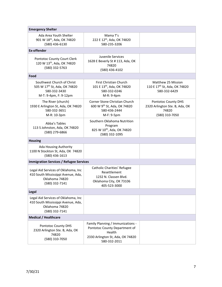| <b>Emergency Shelter</b>                                                                                        |                                                                                                                                  |                                                                                         |
|-----------------------------------------------------------------------------------------------------------------|----------------------------------------------------------------------------------------------------------------------------------|-----------------------------------------------------------------------------------------|
| Ada Area Youth Shelter<br>901 W 18th, Ada, OK 74820<br>(580) 436-6130                                           | Mama T's<br>222 E 12th, Ada, OK 74820<br>580-235-3206                                                                            |                                                                                         |
| <b>Ex-offender</b>                                                                                              |                                                                                                                                  |                                                                                         |
| Pontotoc County Court Clerk<br>120 W 13th, Ada, OK 74820<br>(580) 332-5763                                      | Juvenile Services<br>1628 E Beverly St # 113, Ada, OK<br>74820<br>(580) 436-4102                                                 |                                                                                         |
| Food                                                                                                            |                                                                                                                                  |                                                                                         |
| Southwest Church of Christ<br>505 W 17 <sup>th</sup> St, Ada, OK 74820<br>580-332-3430<br>M-T: 9-4pm, F: 9-12pm | <b>First Christian Church</b><br>101 E 13 <sup>th</sup> , Ada, OK 74820<br>580-332-0246<br>M-R: 9-4pm                            | Matthew 25 Mission<br>110 E 17 <sup>th</sup> St, Ada, OK 74820<br>580-332-6429          |
| The River (church)<br>1930 E Arlington St, Ada, OK 74820<br>580-332-3651<br>M-R: 10-3pm                         | Corner Stone Christian Church<br>600 W 9th St, Ada, OK 74820<br>580-436-2444<br>M-F: 9-5pm                                       | <b>Pontotoc County DHS</b><br>2320 Arlington Ste. B, Ada, OK<br>74820<br>(580) 310-7050 |
| Abba's Tables<br>113 S Johnston, Ada, OK 74820<br>(580) 279-6866                                                | Southern Oklahoma Nutrition<br>Program<br>825 W 10th, Ada, OK 74820<br>(580) 332-1095                                            |                                                                                         |
| <b>Housing</b>                                                                                                  |                                                                                                                                  |                                                                                         |
| Ada Housing Authority<br>1100 N Stockton St, Ada, OK 74820<br>(580) 436-1613                                    |                                                                                                                                  |                                                                                         |
| <b>Immigration Services / Refugee Services</b>                                                                  |                                                                                                                                  |                                                                                         |
| Legal Aid Services of Oklahoma, Inc<br>410 South Mississippi Avenue, Ada,<br>Oklahoma 74820<br>(580) 332-7141   | Catholic Charities' Refugee<br>Resettlement<br>1232 N. Classen Blvd.<br>Oklahoma City, OK 73106<br>405-523-3000                  |                                                                                         |
| Legal                                                                                                           |                                                                                                                                  |                                                                                         |
| Legal Aid Services of Oklahoma, Inc<br>410 South Mississippi Avenue, Ada,<br>Oklahoma 74820<br>(580) 332-7141   |                                                                                                                                  |                                                                                         |
| <b>Medical / Healthcare</b>                                                                                     |                                                                                                                                  |                                                                                         |
| Pontotoc County DHS<br>2320 Arlington Ste. B, Ada, OK<br>74820<br>(580) 310-7050                                | Family Planning / Immunizations -<br>Pontotoc County Department of<br>Health<br>2330 Arlington St, Ada, OK 74820<br>580-332-2011 |                                                                                         |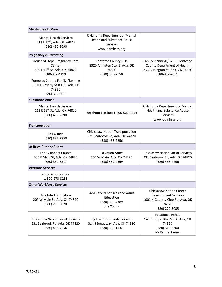| <b>Mental Health Care</b>                                                                          |                                                                                                          |                                                                                                                             |
|----------------------------------------------------------------------------------------------------|----------------------------------------------------------------------------------------------------------|-----------------------------------------------------------------------------------------------------------------------------|
| <b>Mental Health Services</b><br>111 E 12 <sup>th</sup> , Ada, OK 74820<br>(580) 436-2690          | Oklahoma Department of Mental<br><b>Health and Substance Abuse</b><br><b>Services</b><br>www.odmhsas.org |                                                                                                                             |
| <b>Pregnancy &amp; Parenting</b>                                                                   |                                                                                                          |                                                                                                                             |
| House of Hope Pregnancy Care<br>Center<br>509 E 12 <sup>th</sup> St, Ada, OK 74820<br>580-332-4199 | Pontotoc County DHS<br>2320 Arlington Ste. B, Ada, OK<br>74820<br>(580) 310-7050                         | Family Planning / WIC - Pontotoc<br>County Department of Health<br>2330 Arlington St, Ada, OK 74820<br>580-332-2011         |
| Pontotoc County Family Planning<br>1630 E Beverly St # 101, Ada, OK<br>74820<br>(580) 332-2011     |                                                                                                          |                                                                                                                             |
| <b>Substance Abuse</b>                                                                             |                                                                                                          |                                                                                                                             |
| <b>Mental Health Services</b><br>111 E 12 <sup>th</sup> St, Ada, OK 74820<br>(580) 436-2690        | Reachout Hotline: 1-800-522-9054                                                                         | Oklahoma Department of Mental<br><b>Health and Substance Abuse</b><br><b>Services</b><br>www.odmhsas.org                    |
| <b>Transportation</b>                                                                              |                                                                                                          |                                                                                                                             |
| Call-a-Ride<br>(580) 332-7950                                                                      | <b>Chickasaw Nation Transportation</b><br>231 Seabrook Rd, Ada, OK 74820<br>(580) 436-7256               |                                                                                                                             |
| <b>Utilities / Phone/ Rent</b>                                                                     |                                                                                                          |                                                                                                                             |
| <b>Trinity Baptist Church</b><br>530 E Main St, Ada, OK 74820<br>(580) 332-6317                    | Salvation Army<br>203 W Main, Ada, OK 74820<br>(580) 559-2669                                            | <b>Chickasaw Nation Social Services</b><br>231 Seabrook Rd, Ada, OK 74820<br>(580) 436-7256                                 |
| <b>Veterans Services</b>                                                                           |                                                                                                          |                                                                                                                             |
| <b>Veterans Crisis Line</b><br>1-800-273-8255                                                      |                                                                                                          |                                                                                                                             |
| <b>Other Workforce Services</b>                                                                    |                                                                                                          |                                                                                                                             |
| Ada Jobs Foundation<br>209 W Main St, Ada, OK 74820<br>(580) 235-0070                              | Ada Special Services and Adult<br>Education<br>(580) 310-7389<br>Sue Young                               | <b>Chickasaw Nation Career</b><br><b>Development Services</b><br>1001 N Country Club Rd, Ada, OK<br>74820<br>(580) 272-5085 |
| <b>Chickasaw Nation Social Services</b><br>231 Seabrook Rd, Ada, OK 74820<br>(580) 436-7256        | <b>Big Five Community Services</b><br>314 S Broadway, Ada, OK 74820<br>(580) 332-1132                    | <b>Vocational Rehab</b><br>1400 Hoppe Blvd Ste A, Ada, OK<br>74820<br>(580) 310-5300<br>McKenzie Ramer                      |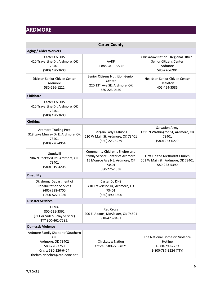## <span id="page-8-0"></span>**ARDMORE**

<span id="page-8-1"></span>

| <b>Carter County</b>                                                                                                                   |                                                                                                                               |                                                                                          |
|----------------------------------------------------------------------------------------------------------------------------------------|-------------------------------------------------------------------------------------------------------------------------------|------------------------------------------------------------------------------------------|
| <b>Aging / Older Workers</b>                                                                                                           |                                                                                                                               |                                                                                          |
| Carter Co DHS<br>410 Travertine Dr, Ardmore, OK<br>73401<br>(580) 490-3600                                                             | AARP<br>1-888-OUR-AARP                                                                                                        | Chickasaw Nation - Regional Office-<br>Senior Citizens Center<br>Ardmore<br>580-226-6904 |
| Dickson Senior Citizen Center<br>Ardmore<br>580-226-1222                                                                               | Senior Citizens Nutrition-Senior<br>Center<br>220 13 <sup>th</sup> Ave SE, Ardmore, OK<br>580-223-0450                        | Healdton Senior Citizen Center<br>Healdton<br>405-454-3586                               |
| <b>Childcare</b>                                                                                                                       |                                                                                                                               |                                                                                          |
| Carter Co DHS<br>410 Travertine Dr, Ardmore, OK<br>73401<br>(580) 490-3600                                                             |                                                                                                                               |                                                                                          |
| Clothing                                                                                                                               |                                                                                                                               |                                                                                          |
| <b>Ardmore Trading Post</b><br>318 Lake Murray Dr E, Ardmore, OK<br>73401<br>(580) 226-4954                                            | <b>Bargain Lady Fashions</b><br>620 W Main St, Ardmore, OK 73401<br>(580) 223-5239                                            | Salvation Army<br>1211 N Washington St, Ardmore, OK<br>73401<br>(580) 223-6279           |
| Goodwill<br>904 N Rockford Rd, Ardmore, OK<br>73401<br>(580) 319-4208                                                                  | Community Chldren's Shelter and<br>family Service Center of Ardmore<br>15 Monroe Ave NE, Ardmore, OK<br>73401<br>580-226-1838 | First United Methodist Church<br>501 W Main St Ardmore, OK 73401<br>580-223-5390         |
| <b>Disability</b>                                                                                                                      |                                                                                                                               |                                                                                          |
| Oklahoma Department of<br><b>Rehabilitation Services</b><br>(405) 238-4700<br>1-800-522-1086                                           | Carter Co DHS<br>410 Travertine Dr, Ardmore, OK<br>73401<br>(580) 490-3600                                                    |                                                                                          |
| <b>Disaster Services</b>                                                                                                               |                                                                                                                               |                                                                                          |
| <b>FEMA</b><br>800-621-3362<br>(711 or Video Relay Service)<br>TTY 800-462-7585.                                                       | <b>Red Cross</b><br>200 E. Adams, McAlester, OK 74501<br>918-423-0481                                                         |                                                                                          |
| <b>Domestic Violence</b>                                                                                                               |                                                                                                                               |                                                                                          |
| Ardmore Family Shelter of Southern<br>ОК<br>Ardmore, OK 73402<br>580-226-3750<br>Crisis: 580-226-6424<br>thefamilyshelter@cableone.net | <b>Chickasaw Nation</b><br>Office: 580-226-4821                                                                               | The National Domestic Violence<br>Hotline<br>1-800-799-7233<br>1-800-787-3224 (TTY)      |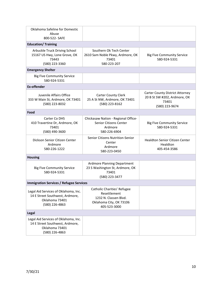| Oklahoma Safeline for Domestic<br>Abuse<br>800-522- SAFE                                                    |                                                                                                                 |                                                                                                   |  |
|-------------------------------------------------------------------------------------------------------------|-----------------------------------------------------------------------------------------------------------------|---------------------------------------------------------------------------------------------------|--|
| <b>Education/Training</b>                                                                                   |                                                                                                                 |                                                                                                   |  |
| Arbuckle Truck Driving School<br>15167 US Hwy, Lone Grove, OK<br>73443<br>(580) 223-3360                    | Southern Ok Tech Center<br>2610 Sam Noble Pkwy, Ardmore, OK<br>73401<br>580-223-207                             | <b>Big Five Community Service</b><br>580-924-5331                                                 |  |
| <b>Emergency Shelter</b>                                                                                    |                                                                                                                 |                                                                                                   |  |
| <b>Big Five Community Service</b><br>580-924-5331                                                           |                                                                                                                 |                                                                                                   |  |
| <b>Ex-offender</b>                                                                                          |                                                                                                                 |                                                                                                   |  |
| Juvenile Affairs Office<br>333 W Main St, Ardmore, OK 73401<br>(580) 223-8032                               | <b>Carter County Clerk</b><br>25 A St NW, Ardmore, OK 73401<br>(580) 223-8162                                   | <b>Carter County District Attorney</b><br>20 B St SW #202, Ardmore, OK<br>73401<br>(580) 223-9674 |  |
| Food                                                                                                        |                                                                                                                 |                                                                                                   |  |
| Carter Co DHS<br>410 Travertine Dr, Ardmore, OK<br>73401<br>(580) 490-3600                                  | Chickasaw Nation - Regional Office-<br>Senior Citizens Center<br>Ardmore<br>580-226-6904                        | <b>Big Five Community Service</b><br>580-924-5331                                                 |  |
| Dickson Senior Citizen Center<br>Ardmore<br>580-226-1222                                                    | Senior Citizens Nutrition-Senior<br>Center<br>Ardmore<br>580-223-0450                                           | Healdton Senior Citizen Center<br>Healdton<br>405-454-3586                                        |  |
| <b>Housing</b>                                                                                              |                                                                                                                 |                                                                                                   |  |
| <b>Big Five Community Service</b><br>580-924-5331                                                           | <b>Ardmore Planning Department</b><br>23 S Washington St, Ardmore, OK<br>73401<br>(580) 223-3477                |                                                                                                   |  |
| <b>Immigration Services / Refugee Services</b>                                                              |                                                                                                                 |                                                                                                   |  |
| Legal Aid Services of Oklahoma, Inc.<br>14 E Street Southwest, Ardmore,<br>Oklahoma 73401<br>(580) 226-4863 | Catholic Charities' Refugee<br>Resettlement<br>1232 N. Classen Blvd.<br>Oklahoma City, OK 73106<br>405-523-3000 |                                                                                                   |  |
| Legal                                                                                                       |                                                                                                                 |                                                                                                   |  |
| Legal Aid Services of Oklahoma, Inc.<br>14 E Street Southwest, Ardmore,<br>Oklahoma 73401<br>(580) 226-4863 |                                                                                                                 |                                                                                                   |  |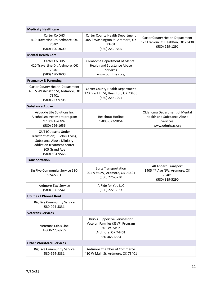| <b>Medical / Healthcare</b>                                                                                                                                       |                                                                                                                       |                                                                                                          |
|-------------------------------------------------------------------------------------------------------------------------------------------------------------------|-----------------------------------------------------------------------------------------------------------------------|----------------------------------------------------------------------------------------------------------|
| Carter Co DHS<br>410 Travertine Dr, Ardmore, OK<br>73401<br>(580) 490-3600                                                                                        | Carter County Health Department<br>405 S Washington St, Ardmore, OK<br>73401<br>(580) 223-9705                        | Carter County Health Department<br>173 Franklin St, Healdton, OK 73438<br>(580) 229-1291                 |
| <b>Mental Health Care</b>                                                                                                                                         |                                                                                                                       |                                                                                                          |
| Carter Co DHS<br>410 Travertine Dr, Ardmore, OK<br>73401<br>(580) 490-3600                                                                                        | Oklahoma Department of Mental<br><b>Health and Substance Abuse</b><br><b>Services</b><br>www.odmhsas.org              |                                                                                                          |
| <b>Pregnancy &amp; Parenting</b>                                                                                                                                  |                                                                                                                       |                                                                                                          |
| Carter County Health Department<br>405 S Washington St, Ardmore, OK<br>73401<br>(580) 223-9705                                                                    | Carter County Health Department<br>173 Franklin St, Healdton, OK 73438<br>(580) 229-1291                              |                                                                                                          |
| <b>Substance Abuse</b>                                                                                                                                            |                                                                                                                       |                                                                                                          |
| Arbuckle Life Solutions Inc<br>Alcoholism treatment program<br>9 10th Ave NW<br>(580) 226-1656                                                                    | <b>Reachout Hotline</b><br>1-800-522-9054                                                                             | Oklahoma Department of Mental<br><b>Health and Substance Abuse</b><br><b>Services</b><br>www.odmhsas.org |
| <b>OUT (Outcasts Under</b><br>Transformation)   Sober Living,<br><b>Substance Abuse Ministry</b><br>addiction treatment center<br>805 Grand Ave<br>(580) 504-9566 |                                                                                                                       |                                                                                                          |
| <b>Transportation</b>                                                                                                                                             |                                                                                                                       |                                                                                                          |
| Big Five Community Service 580-<br>924-5331                                                                                                                       | Sorts Transportation<br>201 A St SW, Ardmore, OK 73401<br>(580) 226-5730                                              | All Aboard Transport<br>1405 4th Ave NW, Ardmore, OK<br>73401<br>(580) 319-5290                          |
| Ardmore Taxi Service<br>(580) 956-5541                                                                                                                            | A Ride for You LLC<br>(580) 222-8933                                                                                  |                                                                                                          |
| <b>Utilities / Phone/ Rent</b>                                                                                                                                    |                                                                                                                       |                                                                                                          |
| <b>Big Five Community Service</b><br>580-924-5331                                                                                                                 |                                                                                                                       |                                                                                                          |
| <b>Veterans Services</b>                                                                                                                                          |                                                                                                                       |                                                                                                          |
| <b>Veterans Crisis Line</b><br>1-800-273-8255                                                                                                                     | KiBois Supportive Services for<br>Veteran Families (SSVF) Program<br>301 W. Main<br>Ardmore, OK 74401<br>580-465-6684 |                                                                                                          |
| <b>Other Workforce Services</b>                                                                                                                                   |                                                                                                                       |                                                                                                          |
| <b>Big Five Community Service</b><br>580-924-5331                                                                                                                 | Ardmore Chamber of Commerce<br>410 W Main St, Ardmore, OK 73401                                                       |                                                                                                          |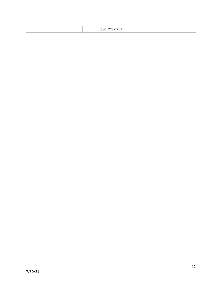| $--- - - -$<br>וגר<br>ر ر ر<br>. <b>. .</b> |  |
|---------------------------------------------|--|
|---------------------------------------------|--|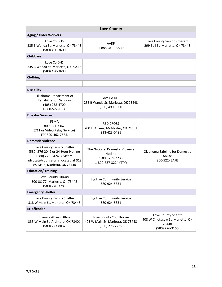<span id="page-12-0"></span>

| <b>Love County</b>                                                                                                                                                 |                                                                                     |                                                                                    |
|--------------------------------------------------------------------------------------------------------------------------------------------------------------------|-------------------------------------------------------------------------------------|------------------------------------------------------------------------------------|
| <b>Aging / Older Workers</b>                                                                                                                                       |                                                                                     |                                                                                    |
| Love Co DHS<br>235 B Wanda St, Marietta, OK 73448<br>(580) 490-3600                                                                                                | AARP<br>1-888-OUR-AARP                                                              | Love County Senior Program<br>299 Bell St, Marietta, OK 73448                      |
| <b>Childcare</b>                                                                                                                                                   |                                                                                     |                                                                                    |
| Love Co DHS<br>235 B Wanda St, Marietta, OK 73448<br>(580) 490-3600                                                                                                |                                                                                     |                                                                                    |
| <b>Clothing</b>                                                                                                                                                    |                                                                                     |                                                                                    |
|                                                                                                                                                                    |                                                                                     |                                                                                    |
| <b>Disability</b>                                                                                                                                                  |                                                                                     |                                                                                    |
| Oklahoma Department of<br><b>Rehabilitation Services</b><br>(405) 238-4700<br>1-800-522-1086                                                                       | Love Co DHS<br>235 B Wanda St, Marietta, OK 73448<br>(580) 490-3600                 |                                                                                    |
| <b>Disaster Services</b>                                                                                                                                           |                                                                                     |                                                                                    |
| <b>FEMA</b><br>800-621-3362<br>(711 or Video Relay Service)<br>TTY 800-462-7585.                                                                                   | <b>RED CROSS</b><br>200 E. Adams, McAlester, OK 74501<br>918-423-0481               |                                                                                    |
| <b>Domestic Violence</b>                                                                                                                                           |                                                                                     |                                                                                    |
| Love County Family Shelter<br>(580) 276-2042 or 24-Hour Hotline<br>(580) 226-6424. A victim<br>advocate/counselor is located at 318<br>W. Main, Marietta, OK 73448 | The National Domestic Violence<br>Hotline<br>1-800-799-7233<br>1-800-787-3224 (TTY) | Oklahoma Safeline for Domestic<br>Abuse<br>800-522- SAFE                           |
| <b>Education/ Training</b>                                                                                                                                         |                                                                                     |                                                                                    |
| Love County Library<br>500 US-77, Marietta, OK 73448<br>(580) 276-3783                                                                                             | <b>Big Five Community Service</b><br>580-924-5331                                   |                                                                                    |
| <b>Emergency Shelter</b>                                                                                                                                           |                                                                                     |                                                                                    |
| Love County Family Shelter<br>318 W Main St, Marietta, OK 73448                                                                                                    | <b>Big Five Community Service</b><br>580-924-5331                                   |                                                                                    |
| <b>Ex-offender</b>                                                                                                                                                 |                                                                                     |                                                                                    |
| Juvenile Affairs Office<br>333 W Main St, Ardmore, OK 73401<br>(580) 223-8032                                                                                      | Love County Courthouse<br>405 W Main St, Marietta, OK 73448<br>(580) 276-2235       | Love County Sheriff<br>408 W Chickasaw St, Marietta, OK<br>73448<br>(580) 276-3150 |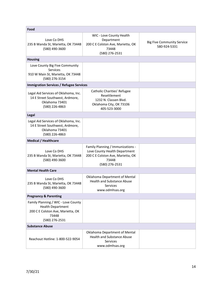| Food                                                                                                                            |                                                                                                                                    |                                                   |
|---------------------------------------------------------------------------------------------------------------------------------|------------------------------------------------------------------------------------------------------------------------------------|---------------------------------------------------|
| Love Co DHS<br>235 B Wanda St, Marietta, OK 73448<br>(580) 490-3600                                                             | WIC - Love County Health<br>Department<br>200 C E Colston Ave, Marietta, OK<br>73448<br>(580) 276-2531                             | <b>Big Five Community Service</b><br>580-924-5331 |
| <b>Housing</b>                                                                                                                  |                                                                                                                                    |                                                   |
| Love County Big Five Community<br>Services<br>910 W Main St, Marietta, OK 73448<br>(580) 276-3154                               |                                                                                                                                    |                                                   |
| <b>Immigration Services / Refugee Services</b>                                                                                  |                                                                                                                                    |                                                   |
| Legal Aid Services of Oklahoma, Inc.<br>14 E Street Southwest, Ardmore,<br>Oklahoma 73401<br>(580) 226-4863                     | Catholic Charities' Refugee<br>Resettlement<br>1232 N. Classen Blvd.<br>Oklahoma City, OK 73106<br>405-523-3000                    |                                                   |
| Legal                                                                                                                           |                                                                                                                                    |                                                   |
| Legal Aid Services of Oklahoma, Inc.<br>14 E Street Southwest, Ardmore,<br>Oklahoma 73401<br>(580) 226-4863                     |                                                                                                                                    |                                                   |
| <b>Medical / Healthcare</b>                                                                                                     |                                                                                                                                    |                                                   |
| Love Co DHS<br>235 B Wanda St, Marietta, OK 73448<br>(580) 490-3600                                                             | Family Planning / Immunizations -<br>Love County Health Department<br>200 C E Colston Ave, Marietta, OK<br>73448<br>(580) 276-2531 |                                                   |
| <b>Mental Health Care</b>                                                                                                       |                                                                                                                                    |                                                   |
| Love Co DHS<br>235 B Wanda St, Marietta, OK 73448<br>(580) 490-3600                                                             | Oklahoma Department of Mental<br><b>Health and Substance Abuse</b><br><b>Services</b><br>www.odmhsas.org                           |                                                   |
| <b>Pregnancy &amp; Parenting</b>                                                                                                |                                                                                                                                    |                                                   |
| Family Planning / WIC - Love County<br><b>Health Department</b><br>200 C E Colston Ave, Marietta, OK<br>73448<br>(580) 276-2531 |                                                                                                                                    |                                                   |
| <b>Substance Abuse</b>                                                                                                          |                                                                                                                                    |                                                   |
| Reachout Hotline: 1-800-522-9054                                                                                                | Oklahoma Department of Mental<br><b>Health and Substance Abuse</b><br><b>Services</b><br>www.odmhsas.org                           |                                                   |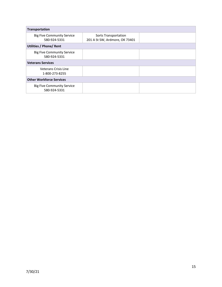| Transportation                                    |                                                        |  |
|---------------------------------------------------|--------------------------------------------------------|--|
| <b>Big Five Community Service</b><br>580-924-5331 | Sorts Transportation<br>201 A St SW, Ardmore, OK 73401 |  |
| <b>Utilities / Phone/ Rent</b>                    |                                                        |  |
| <b>Big Five Community Service</b><br>580-924-5331 |                                                        |  |
| <b>Veterans Services</b>                          |                                                        |  |
| Veterans Crisis Line<br>1-800-273-8255            |                                                        |  |
| <b>Other Workforce Services</b>                   |                                                        |  |
| <b>Big Five Community Service</b><br>580-924-5331 |                                                        |  |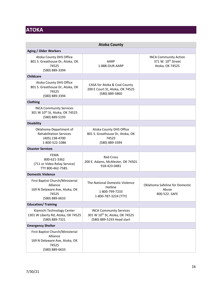## <span id="page-15-0"></span>**ATOKA**

<span id="page-15-1"></span>

| <b>Atoka County</b>                                                                                      |                                                                                               |                                                                                   |
|----------------------------------------------------------------------------------------------------------|-----------------------------------------------------------------------------------------------|-----------------------------------------------------------------------------------|
| <b>Aging / Older Workers</b>                                                                             |                                                                                               |                                                                                   |
| Atoka County DHS Office<br>801 S. Greathouse Dr, Atoka, OK<br>74525<br>(580) 889-3394                    | AARP<br>1-888-OUR-AARP                                                                        | <b>INCA Community Action</b><br>371 W. 10 <sup>th</sup> Street<br>Atoka, OK 74525 |
| <b>Childcare</b>                                                                                         |                                                                                               |                                                                                   |
| Atoka County DHS Office<br>801 S. Greathouse Dr, Atoka, OK<br>74525<br>(580) 889-3394                    | CASA for Atoka & Coal County<br>200 E Court St, Atoka, OK 74525<br>(580) 889-5860             |                                                                                   |
| Clothing                                                                                                 |                                                                                               |                                                                                   |
| <b>INCA Community Services</b><br>301 W 10 <sup>th</sup> St, Atoka, OK 74525<br>(580) 889-5193           |                                                                                               |                                                                                   |
| <b>Disability</b>                                                                                        |                                                                                               |                                                                                   |
| Oklahoma Department of<br><b>Rehabilitation Services</b><br>(405) 238-4700<br>1-800-522-1086             | Atoka County DHS Office<br>801 S. Greathouse Dr, Atoka, OK<br>74525<br>(580) 889-3394         |                                                                                   |
| <b>Disaster Services</b>                                                                                 |                                                                                               |                                                                                   |
| <b>FEMA</b><br>800-621-3362<br>(711 or Video Relay Service)<br>TTY 800-462-7585.                         | <b>Red Cross</b><br>200 E. Adams, McAlester, OK 74501<br>918-423-0481                         |                                                                                   |
| <b>Domestic Violence</b>                                                                                 |                                                                                               |                                                                                   |
| First Baptist Church/Ministerial<br>Alliance<br>169 N Delaware Ave, Atoka, OK<br>74525<br>(580) 889-6633 | The National Domestic Violence<br>Hotline<br>1-800-799-7233<br>1-800-787-3224 (TTY)           | Oklahoma Safeline for Domestic<br>Abuse<br>800-522- SAFE                          |
| <b>Education/ Training</b>                                                                               |                                                                                               |                                                                                   |
| Kiamichi Technology Center<br>1301 W Liberty Rd, Atoka, OK 74525<br>(580) 889-7321                       | <b>INCA Community Services</b><br>301 W 10th St, Atoka, OK 74525<br>(580) 889-5193 Head start |                                                                                   |
| <b>Emergency Shelter</b>                                                                                 |                                                                                               |                                                                                   |
| First Baptist Church/Ministerial<br>Alliance<br>169 N Delaware Ave, Atoka, OK<br>74525<br>(580) 889-6633 |                                                                                               |                                                                                   |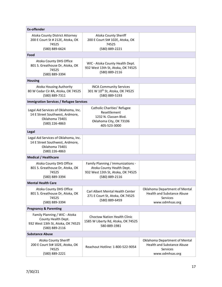| <b>Ex-offender</b>                                                                                          |                                                                                                                       |                                                                                                          |
|-------------------------------------------------------------------------------------------------------------|-----------------------------------------------------------------------------------------------------------------------|----------------------------------------------------------------------------------------------------------|
| Atoka County District Attorney<br>200 E Court St # 212E, Atoka, OK<br>74525                                 | Atoka County Sheriff<br>200 E Court St# 102E, Atoka, OK<br>74525                                                      |                                                                                                          |
| (580) 889-6624<br>Food                                                                                      | (580) 889-2221                                                                                                        |                                                                                                          |
| Atoka County DHS Office<br>801 S. Greathouse Dr, Atoka, OK<br>74525<br>(580) 889-3394                       | WIC - Atoka County Health Dept.<br>932 West 13th St, Atoka, OK 74525<br>(580) 889-2116                                |                                                                                                          |
| <b>Housing</b>                                                                                              |                                                                                                                       |                                                                                                          |
| <b>Atoka Housing Authority</b><br>80 W Cedar Cir #A, Atoka, OK 74525<br>(580) 889-7311                      | <b>INCA Community Services</b><br>301 W 10th St, Atoka, OK 74525<br>(580) 889-5193                                    |                                                                                                          |
| <b>Immigration Services / Refugee Services</b>                                                              |                                                                                                                       |                                                                                                          |
| Legal Aid Services of Oklahoma, Inc.<br>14 E Street Southwest, Ardmore,<br>Oklahoma 73401<br>(580) 226-4863 | Catholic Charities' Refugee<br>Resettlement<br>1232 N. Classen Blvd.<br>Oklahoma City, OK 73106<br>405-523-3000       |                                                                                                          |
| Legal                                                                                                       |                                                                                                                       |                                                                                                          |
| Legal Aid Services of Oklahoma, Inc.<br>14 E Street Southwest, Ardmore,<br>Oklahoma 73401<br>(580) 226-4863 |                                                                                                                       |                                                                                                          |
| <b>Medical / Healthcare</b>                                                                                 |                                                                                                                       |                                                                                                          |
| Atoka County DHS Office<br>801 S. Greathouse Dr, Atoka, OK<br>74525<br>(580) 889-3394                       | Family Planning / Immunizations -<br>Atoka County Health Dept.<br>932 West 13th St, Atoka, OK 74525<br>(580) 889-2116 |                                                                                                          |
| <b>Mental Health Care</b>                                                                                   |                                                                                                                       |                                                                                                          |
| Atoka County DHS Office<br>801 S. Greathouse Dr, Atoka, OK<br>74525<br>(580) 889-3394                       | Carl Albert Mental Health Center<br>271 E Court St, Atoka, OK 74525<br>(580) 889-6459                                 | Oklahoma Department of Mental<br><b>Health and Substance Abuse</b><br><b>Services</b><br>www.odmhsas.org |
| <b>Pregnancy &amp; Parenting</b>                                                                            |                                                                                                                       |                                                                                                          |
| Family Planning / WIC - Atoka<br>County Health Dept.<br>932 West 13th St, Atoka, OK 74525<br>(580) 889-2116 | <b>Choctaw Nation Health Clinic</b><br>1585 W Liberty Rd, Atoka, OK 74525<br>580-889-1981                             |                                                                                                          |
| <b>Substance Abuse</b>                                                                                      |                                                                                                                       |                                                                                                          |
| Atoka County Sheriff<br>200 E Court St# 102E, Atoka, OK<br>74525<br>(580) 889-2221                          | Reachout Hotline: 1-800-522-9054                                                                                      | Oklahoma Department of Mental<br><b>Health and Substance Abuse</b><br><b>Services</b><br>www.odmhsas.org |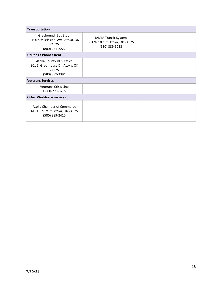| <b>Transportation</b>                                                                 |                                                                                |  |
|---------------------------------------------------------------------------------------|--------------------------------------------------------------------------------|--|
| Greyhound (Bus Stop)<br>1100 S Mississippi Ave, Atoka, OK<br>74525<br>(800) 231-2222  | <b>JAMM Transit System</b><br>301 W 10th St, Atoka, OK 74525<br>(580) 889-5023 |  |
| <b>Utilities / Phone/ Rent</b>                                                        |                                                                                |  |
| Atoka County DHS Office<br>801 S. Greathouse Dr, Atoka, OK<br>74525<br>(580) 889-3394 |                                                                                |  |
| <b>Veterans Services</b>                                                              |                                                                                |  |
| <b>Veterans Crisis Line</b><br>1-800-273-8255                                         |                                                                                |  |
| <b>Other Workforce Services</b>                                                       |                                                                                |  |
| Atoka Chamber of Commerce<br>415 E Court St, Atoka, OK 74525<br>(580) 889-2410        |                                                                                |  |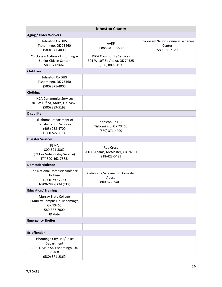<span id="page-18-0"></span>

| <b>Johnston County</b>                                                                                 |                                                                                    |                                                               |
|--------------------------------------------------------------------------------------------------------|------------------------------------------------------------------------------------|---------------------------------------------------------------|
| <b>Aging / Older Workers</b>                                                                           |                                                                                    |                                                               |
| Johnston Co DHS<br>Tishomingo, OK 73460<br>(580) 371-4000                                              | AARP<br>1-888-OUR-AARP                                                             | Chickasaw Nation Connerville Senior<br>Center<br>580-836-7120 |
| Chickasaw Nation - Tishomingo-<br>Senior Citizen Center<br>580-371-9667                                | <b>INCA Community Services</b><br>301 W 10th St, Atoka, OK 74525<br>(580) 889-5193 |                                                               |
| <b>Childcare</b>                                                                                       |                                                                                    |                                                               |
| Johnston Co DHS<br>Tishomingo, OK 73460<br>(580) 371-4000                                              |                                                                                    |                                                               |
| <b>Clothing</b>                                                                                        |                                                                                    |                                                               |
| <b>INCA Community Services</b><br>301 W 10th St, Atoka, OK 74525<br>(580) 889-5193                     |                                                                                    |                                                               |
| <b>Disability</b>                                                                                      |                                                                                    |                                                               |
| Oklahoma Department of<br><b>Rehabilitation Services</b><br>(405) 238-4700<br>1-800-522-1086           | Johnston Co DHS<br>Tishomingo, OK 73460<br>(580) 371-4000                          |                                                               |
| <b>Disaster Services</b>                                                                               |                                                                                    |                                                               |
| <b>FEMA</b><br>800-621-3362<br>(711 or Video Relay Service)<br>TTY 800-462-7585.                       | <b>Red Cross</b><br>200 E. Adams, McAlester, OK 74501<br>918-423-0481              |                                                               |
| <b>Domestic Violence</b>                                                                               |                                                                                    |                                                               |
| The National Domestic Violence<br>Hotline<br>1-800-799-7233<br>1-800-787-3224 (TTY)                    | Oklahoma Safeline for Domestic<br>Abuse<br>800-522- SAFE                           |                                                               |
| <b>Education/Training</b>                                                                              |                                                                                    |                                                               |
| <b>Murray State College</b><br>1 Murray Campus Dr, Tishomingo,<br>OK 73460<br>580-387-7000<br>JD Voto  |                                                                                    |                                                               |
| <b>Emergency Shelter</b>                                                                               |                                                                                    |                                                               |
|                                                                                                        |                                                                                    |                                                               |
| <b>Ex-offender</b>                                                                                     |                                                                                    |                                                               |
| Tishomingo City Hall/Police<br>Department<br>1130 E Main St, Tishomingo, OK<br>73460<br>(580) 371-2369 |                                                                                    |                                                               |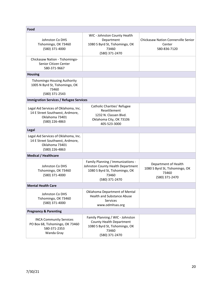| Food                                                                                                        |                                                                                                                                     |                                                                                   |
|-------------------------------------------------------------------------------------------------------------|-------------------------------------------------------------------------------------------------------------------------------------|-----------------------------------------------------------------------------------|
| Johnston Co DHS<br>Tishomingo, OK 73460<br>(580) 371-4000                                                   | WIC - Johnston County Health<br>Department<br>1080 S Byrd St, Tishomingo, OK<br>73460<br>(580) 371-2470                             | <b>Chickasaw Nation Connerville Senior</b><br>Center<br>580-836-7120              |
| Chickasaw Nation - Tishomingo-<br>Senior Citizen Center<br>580-371-9667                                     |                                                                                                                                     |                                                                                   |
| <b>Housing</b>                                                                                              |                                                                                                                                     |                                                                                   |
| <b>Tishomingo Housing Authority</b><br>1005 N Byrd St, Tishomingo, OK<br>73460<br>(580) 371-2543            |                                                                                                                                     |                                                                                   |
| <b>Immigration Services / Refugee Services</b>                                                              |                                                                                                                                     |                                                                                   |
| Legal Aid Services of Oklahoma, Inc.<br>14 E Street Southwest, Ardmore,<br>Oklahoma 73401<br>(580) 226-4863 | Catholic Charities' Refugee<br>Resettlement<br>1232 N. Classen Blvd.<br>Oklahoma City, OK 73106<br>405-523-3000                     |                                                                                   |
| <b>Legal</b>                                                                                                |                                                                                                                                     |                                                                                   |
| Legal Aid Services of Oklahoma, Inc.<br>14 E Street Southwest, Ardmore,<br>Oklahoma 73401<br>(580) 226-4863 |                                                                                                                                     |                                                                                   |
| <b>Medical / Healthcare</b>                                                                                 |                                                                                                                                     |                                                                                   |
| Johnston Co DHS<br>Tishomingo, OK 73460<br>(580) 371-4000                                                   | Family Planning / Immunizations -<br>Johnston County Health Department<br>1080 S Byrd St, Tishomingo, OK<br>73460<br>(580) 371-2470 | Department of Health<br>1080 S Byrd St, Tishomingo, OK<br>73460<br>(580) 371-2470 |
| <b>Mental Health Care</b>                                                                                   |                                                                                                                                     |                                                                                   |
| Johnston Co DHS<br>Tishomingo, OK 73460<br>(580) 371-4000                                                   | Oklahoma Department of Mental<br><b>Health and Substance Abuse</b><br><b>Services</b><br>www.odmhsas.org                            |                                                                                   |
| <b>Pregnancy &amp; Parenting</b>                                                                            |                                                                                                                                     |                                                                                   |
| <b>INCA Community Services</b><br>PO Box 68, Tishomingo, OK 73460<br>580-371-2353<br>Wanda Gray             | Family Planning / WIC - Johnston<br>County Health Department<br>1080 S Byrd St, Tishomingo, OK<br>73460<br>(580) 371-2470           |                                                                                   |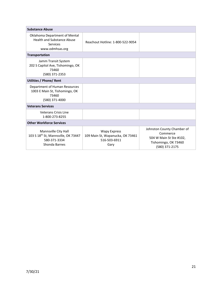| <b>Substance Abuse</b>                                                                                   |                                                                                 |                                                                                                             |
|----------------------------------------------------------------------------------------------------------|---------------------------------------------------------------------------------|-------------------------------------------------------------------------------------------------------------|
| Oklahoma Department of Mental<br><b>Health and Substance Abuse</b><br>Services<br>www.odmhsas.org        | Reachout Hotline: 1-800-522-9054                                                |                                                                                                             |
| <b>Transportation</b>                                                                                    |                                                                                 |                                                                                                             |
| Jamm Transit System<br>202 S Capitol Ave, Tishomingo, OK<br>73460<br>(580) 371-2353                      |                                                                                 |                                                                                                             |
| <b>Utilities / Phone/ Rent</b>                                                                           |                                                                                 |                                                                                                             |
| Department of Human Resources<br>1003 E Main St, Tishomingo, OK<br>73460<br>(580) 371-4000               |                                                                                 |                                                                                                             |
| <b>Veterans Services</b>                                                                                 |                                                                                 |                                                                                                             |
| Veterans Crisis Line<br>1-800-273-8255                                                                   |                                                                                 |                                                                                                             |
| <b>Other Workforce Services</b>                                                                          |                                                                                 |                                                                                                             |
| Mannsville City Hall<br>103 S 18 <sup>th</sup> St, Mannsville, OK 73447<br>580-371-3334<br>Shonda Barnes | <b>Wapy Express</b><br>109 Main St, Wapanucka, OK 73461<br>516-503-6911<br>Gary | Johnston County Chamber of<br>Commerce<br>504 W Main St Ste #102,<br>Tishomingo, OK 73460<br>(580) 371-2175 |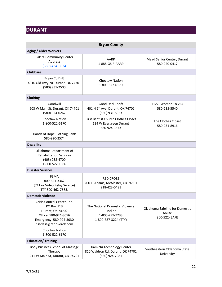## <span id="page-21-0"></span>**DURANT**

<span id="page-21-1"></span>

| <b>Bryan County</b>                                                                                                                         |                                                                                     |                                                          |
|---------------------------------------------------------------------------------------------------------------------------------------------|-------------------------------------------------------------------------------------|----------------------------------------------------------|
| <b>Aging / Older Workers</b>                                                                                                                |                                                                                     |                                                          |
| <b>Calera Community Center</b><br>Address<br>(580) 434-5634                                                                                 | AARP<br>1-888-OUR-AARP                                                              | Mead Senior Center, Durant<br>580-920-0417               |
| <b>Childcare</b>                                                                                                                            |                                                                                     |                                                          |
| Bryan Co DHS<br>4310 Old Hwy 70, Durant, OK 74701<br>(580) 931-2500                                                                         | <b>Choctaw Nation</b><br>1-800-522-6170                                             |                                                          |
| Clothing                                                                                                                                    |                                                                                     |                                                          |
| Goodwill<br>603 W Main St, Durant, OK 74701<br>(580) 924-0262                                                                               | <b>Good Deal Thrift</b><br>401 N 1st Ave, Durant, OK 74701<br>(580) 931-8953        | J127 (Women 18-26)<br>580-235-5540                       |
| <b>Choctaw Nation</b><br>1-800-522-6170                                                                                                     | First Baptist Church Clothes Closet<br>124 W Evergreen Durant<br>580-924-3573       | The Clothes Closet<br>580-931-8916                       |
| Hands of Hope Clothing Bank<br>580-920-2574                                                                                                 |                                                                                     |                                                          |
| <b>Disability</b>                                                                                                                           |                                                                                     |                                                          |
| Oklahoma Department of<br><b>Rehabilitation Services</b><br>(405) 238-4700<br>1-800-522-1086                                                |                                                                                     |                                                          |
| <b>Disaster Services</b>                                                                                                                    |                                                                                     |                                                          |
| FEMA<br>800-621-3362<br>(711 or Video Relay Service)<br>TTY 800-462-7585.                                                                   | <b>RED CROSS</b><br>200 E. Adams, McAlester, OK 74501<br>918-423-0481               |                                                          |
| <b>Domestic Violence</b>                                                                                                                    |                                                                                     |                                                          |
| Crisis Control Center, Inc.<br>PO Box 113<br>Durant, OK 74702<br>Office: 580-924-3056<br>Emergency: 580-924-3030<br>nssclass@redriverok.com | The National Domestic Violence<br>Hotline<br>1-800-799-7233<br>1-800-787-3224 (TTY) | Oklahoma Safeline for Domestic<br>Abuse<br>800-522- SAFE |
| <b>Choctaw Nation</b><br>1-800-522-6170                                                                                                     |                                                                                     |                                                          |
| <b>Education/Training</b>                                                                                                                   |                                                                                     |                                                          |
| Body Business School of Massage<br>Therapy<br>211 W Main St, Durant, OK 74701                                                               | Kiamichi Technology Center<br>810 Waldron Rd, Durant, OK 74701<br>(580) 924-7081    | Southeastern Oklahoma State<br>University                |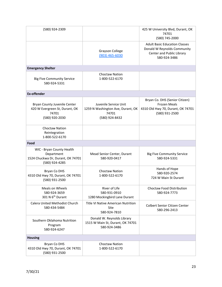| (580) 924-2309                                                                                 |                                                                                       | 425 W University Blvd, Durant, OK<br>74701<br>(580) 745-2000                                                     |
|------------------------------------------------------------------------------------------------|---------------------------------------------------------------------------------------|------------------------------------------------------------------------------------------------------------------|
|                                                                                                | <b>Grayson College</b><br>$(903)$ 465-6030                                            | <b>Adult Basic Education Classes</b><br>Donald W Reynolds Community<br>Center and Public Library<br>580-924-3486 |
| <b>Emergency Shelter</b>                                                                       |                                                                                       |                                                                                                                  |
| <b>Big Five Community Service</b><br>580-924-5331                                              | <b>Choctaw Nation</b><br>1-800-522-6170                                               |                                                                                                                  |
| <b>Ex-offender</b>                                                                             |                                                                                       |                                                                                                                  |
| Bryan County Juvenile Center<br>420 W Evergreen St, Durant, OK<br>74701<br>(580) 920-2030      | Juvenile Service Unit<br>1259 N Washington Ave, Durant, OK<br>74701<br>(580) 924-8432 | Bryan Co. DHS (Senior Citizen)<br><b>Frozen Meals</b><br>4310 Old Hwy 70, Durant, OK 74701<br>(580) 931-2500     |
| <b>Choctaw Nation</b><br>Reintegration<br>1-800-522-6170                                       |                                                                                       |                                                                                                                  |
| Food                                                                                           |                                                                                       |                                                                                                                  |
| WIC - Bryan County Health<br>Department<br>1524 Chuckwa Dr, Durant, OK 74701<br>(580) 924-4285 | Mead Senior Center, Durant<br>580-920-0417                                            | <b>Big Five Community Service</b><br>580-924-5331                                                                |
| Bryan Co DHS<br>4310 Old Hwy 70, Durant, OK 74701<br>(580) 931-2500                            | <b>Choctaw Nation</b><br>1-800-522-6170                                               | Hands of Hope<br>580-920-2574<br>724 W Main St Durant                                                            |
| Meals on Wheels<br>580-924-3659<br>301 N 6 <sup>th</sup> Durant                                | River of Life<br>580-931-0910<br>1280 Mockingbird Lane Durant                         | Choctaw Food Distribution<br>580-924-7773                                                                        |
| Calera United Methodist Church<br>580-434-5484                                                 | <b>Title VI Native American Nutrition</b><br>Site<br>580-924-7810                     | Colbert Senior Citizen Center<br>580-296-2413                                                                    |
| Southern Oklahoma Nutrition<br>Program<br>580-924-6247                                         | Donald W. Reynolds Library<br>1515 W Main St, Durant, OK 74701<br>580-924-3486        |                                                                                                                  |
| <b>Housing</b>                                                                                 |                                                                                       |                                                                                                                  |
| Bryan Co DHS<br>4310 Old Hwy 70, Durant, OK 74701<br>(580) 931-2500                            | Choctaw Nation<br>1-800-522-6170                                                      |                                                                                                                  |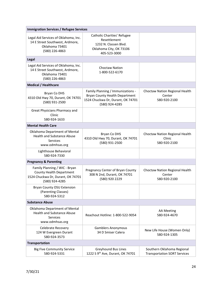| <b>Immigration Services / Refugee Services</b>                                                                   |                                                                                                                            |                                                                   |
|------------------------------------------------------------------------------------------------------------------|----------------------------------------------------------------------------------------------------------------------------|-------------------------------------------------------------------|
| Legal Aid Services of Oklahoma, Inc.<br>14 E Street Southwest, Ardmore,<br>Oklahoma 73401<br>(580) 226-4863      | Catholic Charities' Refugee<br>Resettlement<br>1232 N. Classen Blvd.<br>Oklahoma City, OK 73106<br>405-523-3000            |                                                                   |
| Legal                                                                                                            |                                                                                                                            |                                                                   |
| Legal Aid Services of Oklahoma, Inc.<br>14 E Street Southwest, Ardmore,<br>Oklahoma 73401<br>(580) 226-4863      | <b>Choctaw Nation</b><br>1-800-522-6170                                                                                    |                                                                   |
| <b>Medical / Healthcare</b>                                                                                      |                                                                                                                            |                                                                   |
| Bryan Co DHS<br>4310 Old Hwy 70, Durant, OK 74701<br>(580) 931-2500                                              | Family Planning / Immunizations -<br>Bryan County Health Department<br>1524 Chuckwa Dr, Durant, OK 74701<br>(580) 924-4285 | Choctaw Nation Regional Health<br>Center<br>580-920-2100          |
| Great Physicians Pharmacy and<br>Clinic<br>580-924-1633                                                          |                                                                                                                            |                                                                   |
| <b>Mental Health Care</b>                                                                                        |                                                                                                                            |                                                                   |
| Oklahoma Department of Mental<br><b>Health and Substance Abuse</b><br>Services<br>www.odmhsas.org                | Bryan Co DHS<br>4310 Old Hwy 70, Durant, OK 74701<br>(580) 931-2500                                                        | Choctaw Nation Regional Health<br>Clinic<br>580-920-2100          |
| Lighthouse Behavioral<br>580-924-7330                                                                            |                                                                                                                            |                                                                   |
| <b>Pregnancy &amp; Parenting</b>                                                                                 |                                                                                                                            |                                                                   |
| Family Planning / WIC - Bryan<br>County Health Department<br>1524 Chuckwa Dr, Durant, OK 74701<br>(580) 924-4285 | Pregnancy Center of Bryan County<br>308 N 2nd, Durant, OK 74701<br>(580) 920 2229                                          | Choctaw Nation Regional Health<br>Center<br>580-920-2100          |
| Bryan County OSU Extension<br>(Parenting Classes)<br>580-924-5312                                                |                                                                                                                            |                                                                   |
| <b>Substance Abuse</b>                                                                                           |                                                                                                                            |                                                                   |
| Oklahoma Department of Mental<br><b>Health and Substance Abuse</b><br><b>Services</b><br>www.odmhsas.org         | Reachout Hotline: 1-800-522-9054                                                                                           | <b>AA Meeting</b><br>580-924-4670                                 |
| Celebrate Recovery<br>124 W Evergreen Durant<br>580-924-3573                                                     | <b>Gamblers Anonymous</b><br>34 D Smiser Calera                                                                            | New Life House (Women Only)<br>580-924-1305                       |
| <b>Transportation</b>                                                                                            |                                                                                                                            |                                                                   |
| <b>Big Five Community Service</b><br>580-924-5331                                                                | Greyhound Bus Lines<br>1222 S 9 <sup>th</sup> Ave, Durant, OK 74701                                                        | Southern Oklahoma Regional<br><b>Transportation SORT Services</b> |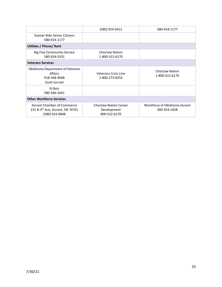|                                                                                             | (580) 924-0312                                              | 580-924-1177                                 |
|---------------------------------------------------------------------------------------------|-------------------------------------------------------------|----------------------------------------------|
| Sooner Ride Senior Citizens<br>580-924-1177                                                 |                                                             |                                              |
| Utilities / Phone/ Rent                                                                     |                                                             |                                              |
| <b>Big Five Community Service</b><br>580-924-5331                                           | Choctaw Nation<br>1-800-522-6170                            |                                              |
| <b>Veterans Services</b>                                                                    |                                                             |                                              |
| Oklahoma Department of Veterans<br>Affairs<br>918-348-9648<br><b>Scott Surratt</b>          | Veterans Crisis Line<br>1-800-273-8255                      | <b>Choctaw Nation</b><br>1-800-522-6170      |
| Ki Bois<br>580-566-2641                                                                     |                                                             |                                              |
| <b>Other Workforce Services</b>                                                             |                                                             |                                              |
| Durant Chamber of Commerce<br>215 N 4 <sup>th</sup> Ave, Durant, OK 74701<br>(580) 924-0848 | <b>Choctaw Nation Career</b><br>Development<br>800-522-6170 | Workforce of Oklahoma Durant<br>580-924-1828 |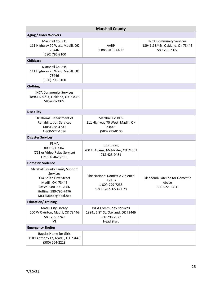<span id="page-25-0"></span>

| <b>Marshall County</b>                                                                                                                                                         |                                                                                                                      |                                                                                                 |
|--------------------------------------------------------------------------------------------------------------------------------------------------------------------------------|----------------------------------------------------------------------------------------------------------------------|-------------------------------------------------------------------------------------------------|
| <b>Aging / Older Workers</b>                                                                                                                                                   |                                                                                                                      |                                                                                                 |
| <b>Marshall Co DHS</b><br>111 Highway 70 West, Madill, OK<br>73446<br>(580) 795-8100                                                                                           | AARP<br>1-888-OUR-AARP                                                                                               | <b>INCA Community Services</b><br>18941 S 8 <sup>th</sup> St, Oakland, OK 73446<br>580-795-2372 |
| <b>Childcare</b>                                                                                                                                                               |                                                                                                                      |                                                                                                 |
| <b>Marshall Co DHS</b><br>111 Highway 70 West, Madill, OK<br>73446<br>(580) 795-8100                                                                                           |                                                                                                                      |                                                                                                 |
| Clothing                                                                                                                                                                       |                                                                                                                      |                                                                                                 |
| <b>INCA Community Services</b><br>18941 S 8 <sup>th</sup> St, Oakland, OK 73446<br>580-795-2372                                                                                |                                                                                                                      |                                                                                                 |
| <b>Disability</b>                                                                                                                                                              |                                                                                                                      |                                                                                                 |
| Oklahoma Department of<br><b>Rehabilitation Services</b><br>(405) 238-4700<br>1-800-522-1086                                                                                   | <b>Marshall Co DHS</b><br>111 Highway 70 West, Madill, OK<br>73446<br>(580) 795-8100                                 |                                                                                                 |
| <b>Disaster Services</b>                                                                                                                                                       |                                                                                                                      |                                                                                                 |
| FEMA<br>800-621-3362<br>(711 or Video Relay Service)<br>TTY 800-462-7585.                                                                                                      | <b>RED CROSS</b><br>200 E. Adams, McAlester, OK 74501<br>918-423-0481                                                |                                                                                                 |
| <b>Domestic Violence</b>                                                                                                                                                       |                                                                                                                      |                                                                                                 |
| <b>Marshall County Family Support</b><br><b>Services</b><br>114 South First Street<br>Madill, OK 73446<br>Office: 580-795-2066<br>Hotline: 580-795-7476<br>MCFSS@sbcglobal.net | The National Domestic Violence<br>Hotline<br>1-800-799-7233<br>1-800-787-3224 (TTY)                                  | Oklahoma Safeline for Domestic<br>Abuse<br>800-522- SAFE                                        |
| <b>Education/Training</b>                                                                                                                                                      |                                                                                                                      |                                                                                                 |
| Madill City Library<br>500 W Overton, Madill, OK 73446<br>580-795-2749<br>VJ                                                                                                   | <b>INCA Community Services</b><br>18941 S 8 <sup>th</sup> St, Oakland, OK 73446<br>580-795-2372<br><b>Head Start</b> |                                                                                                 |
| <b>Emergency Shelter</b>                                                                                                                                                       |                                                                                                                      |                                                                                                 |
| <b>Baptist Home for Girls</b><br>1109 Anthony Ln, Madill, OK 73446<br>(580) 564-2218                                                                                           |                                                                                                                      |                                                                                                 |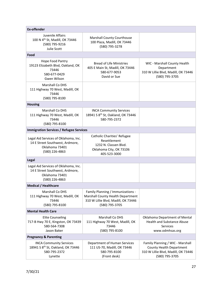| <b>Ex-offender</b>                                                                                          |                                                                                                                                 |                                                                                                                       |
|-------------------------------------------------------------------------------------------------------------|---------------------------------------------------------------------------------------------------------------------------------|-----------------------------------------------------------------------------------------------------------------------|
| Juvenile Affairs<br>100 N 4 <sup>th</sup> St, Madill, OK 73446<br>(580) 795-9216<br>Julie Scott             | Marshall County Courthouse<br>100 Plaza, Madill, OK 73446<br>(580) 795-3278                                                     |                                                                                                                       |
| Food                                                                                                        |                                                                                                                                 |                                                                                                                       |
| Hope Food Pantry<br>19123 Elizabeth Blvd, Oakland, OK<br>73446<br>580-677-0429<br>Gwen Wilson               | <b>Bread of Life Ministries</b><br>405 E Main St, Madill, OK 73446<br>580-677-9053<br>David or Sue                              | WIC - Marshall County Health<br>Department<br>310 W Lillie Blvd, Madill, OK 73446<br>(580) 795-3705                   |
| Marshall Co DHS<br>111 Highway 70 West, Madill, OK<br>73446<br>(580) 795-8100                               |                                                                                                                                 |                                                                                                                       |
| <b>Housing</b>                                                                                              |                                                                                                                                 |                                                                                                                       |
| <b>Marshall Co DHS</b><br>111 Highway 70 West, Madill, OK<br>73446<br>(580) 795-8100                        | <b>INCA Community Services</b><br>18941 S 8 <sup>th</sup> St, Oakland, OK 73446<br>580-795-2372                                 |                                                                                                                       |
| <b>Immigration Services / Refugee Services</b>                                                              |                                                                                                                                 |                                                                                                                       |
| Legal Aid Services of Oklahoma, Inc.<br>14 E Street Southwest, Ardmore,<br>Oklahoma 73401<br>(580) 226-4863 | Catholic Charities' Refugee<br>Resettlement<br>1232 N. Classen Blvd.<br>Oklahoma City, OK 73106<br>405-523-3000                 |                                                                                                                       |
| Legal                                                                                                       |                                                                                                                                 |                                                                                                                       |
| Legal Aid Services of Oklahoma, Inc.<br>14 E Street Southwest, Ardmore,<br>Oklahoma 73401<br>(580) 226-4863 |                                                                                                                                 |                                                                                                                       |
| <b>Medical / Healthcare</b>                                                                                 |                                                                                                                                 |                                                                                                                       |
| Marshall Co DHS<br>111 Highway 70 West, Madill, OK<br>73446<br>(580) 795-8100                               | Family Planning / Immunizations -<br>Marshall County Health Department<br>310 W Lillie Blvd, Madill, OK 73446<br>(580) 795-3705 |                                                                                                                       |
| <b>Mental Health Care</b>                                                                                   |                                                                                                                                 |                                                                                                                       |
| <b>Elite Counseling</b><br>717-B Hwy 70 E, Kingston, OK 73439<br>580-564-7308<br>Jason Baker                | Marshall Co DHS<br>111 Highway 70 West, Madill, OK<br>73446<br>(580) 795-8100                                                   | Oklahoma Department of Mental<br><b>Health and Substance Abuse</b><br>Services<br>www.odmhsas.org                     |
| <b>Pregnancy &amp; Parenting</b>                                                                            |                                                                                                                                 |                                                                                                                       |
| <b>INCA Community Services</b><br>18941 S 8 <sup>th</sup> St, Oakland, OK 73446<br>580-795-2372<br>Lynette  | Department of Human Services<br>111 US-70, Madill, OK 73446<br>580-795-8100<br>(Front desk)                                     | Family Planning / WIC - Marshall<br>County Health Department<br>310 W Lillie Blvd, Madill, OK 73446<br>(580) 795-3705 |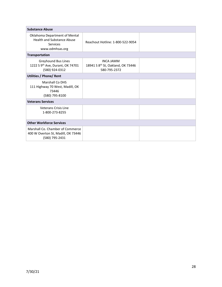| <b>Substance Abuse</b>                                                                            |                                                                                   |  |
|---------------------------------------------------------------------------------------------------|-----------------------------------------------------------------------------------|--|
| Oklahoma Department of Mental<br><b>Health and Substance Abuse</b><br>Services<br>www.odmhsas.org | Reachout Hotline: 1-800-522-9054                                                  |  |
| Transportation                                                                                    |                                                                                   |  |
| Greyhound Bus Lines<br>1222 S 9 <sup>th</sup> Ave, Durant, OK 74701<br>(580) 924-0312             | <b>INCA JAMM</b><br>18941 S 8 <sup>th</sup> St, Oakland, OK 73446<br>580-795-2372 |  |
| <b>Utilities / Phone/ Rent</b>                                                                    |                                                                                   |  |
| <b>Marshall Co DHS</b><br>111 Highway 70 West, Madill, OK<br>73446<br>(580) 795-8100              |                                                                                   |  |
| <b>Veterans Services</b>                                                                          |                                                                                   |  |
| <b>Veterans Crisis Line</b><br>1-800-273-8255                                                     |                                                                                   |  |
| <b>Other Workforce Services</b>                                                                   |                                                                                   |  |
| Marshall Co. Chamber of Commerce<br>400 W Overton St, Madill, OK 73446<br>(580) 795-2431          |                                                                                   |  |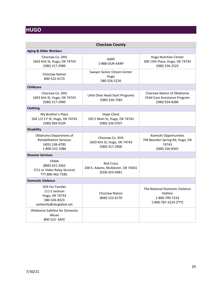## <span id="page-28-0"></span>**HUGO**

<span id="page-28-1"></span>

| <b>Choctaw County</b>                                                                                |                                                                         |                                                                                      |
|------------------------------------------------------------------------------------------------------|-------------------------------------------------------------------------|--------------------------------------------------------------------------------------|
| <b>Aging &amp; Older Workers</b>                                                                     |                                                                         |                                                                                      |
| Choctaw Co. DHS<br>1603 Kirk St, Hugo, OK 74743<br>(580) 317-2900                                    | AARP<br>1-888-OUR-AARP                                                  | <b>Hugo Nutrition Center</b><br>300 13th Place, Hugo, OK 74743<br>(580) 326-2523     |
| <b>Choctaw Nation</b><br>800-522-6170                                                                | Sawyer Senior Citizen Center<br>Hugo<br>580-326-5226                    |                                                                                      |
| <b>Childcare</b>                                                                                     |                                                                         |                                                                                      |
| Choctaw Co. DHS<br>1603 Kirk St, Hugo, OK 74743<br>(580) 317-2900                                    | Little Dixie Head Start Programs<br>(580) 326-7581                      | Choctaw Nation of Oklahoma<br>Child Care Assistance Program<br>(580) 924-8280        |
| <b>Clothing</b>                                                                                      |                                                                         |                                                                                      |
| My Brother's Place<br>504 1/2 S F St, Hugo, OK 74743<br>(580) 969-9104                               | <b>Hope Chest</b><br>105 E Main St, Hugo, OK 74743<br>(580) 326-0707    |                                                                                      |
| <b>Disability</b>                                                                                    |                                                                         |                                                                                      |
| Oklahoma Department of<br><b>Rehabilitation Services</b><br>(405) 238-4700<br>1-800-522-1086         | Choctaw Co. DHS<br>1603 Kirk St, Hugo, OK 74743<br>(580) 317-2900       | Kiamichi Opportunities<br>704 Bearden Spring Rd, Hugo, OK<br>74743<br>(580) 326-8341 |
| <b>Disaster Services</b>                                                                             |                                                                         |                                                                                      |
| FEMA<br>(800) 621-3362<br>(711 or Video Relay Service)<br>TTY 800-462-7585.                          | <b>Red Cross</b><br>200 E. Adams, McAlester, OK 74501<br>(918) 423-0481 |                                                                                      |
| <b>Domestic Violence</b>                                                                             |                                                                         |                                                                                      |
| <b>SOS For Familes</b><br>111 E Jackson<br>Hugo, OK 74743<br>580-326-8323<br>sosfamily@sbcglobal.net | <b>Choctaw Nation</b><br>(800) 522-6170                                 | The National Domestic Violence<br>Hotline<br>1-800-799-7233<br>1-800-787-3224 (TTY)  |
| Oklahoma Safeline for Domestic<br>Abuse<br>800-522- SAFE                                             |                                                                         |                                                                                      |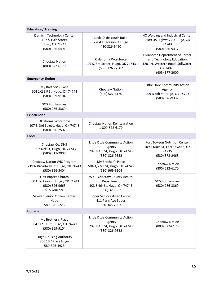| <b>Education/ Training</b>                                                                        |                                                                                            |                                                                                                                              |
|---------------------------------------------------------------------------------------------------|--------------------------------------------------------------------------------------------|------------------------------------------------------------------------------------------------------------------------------|
| Kiamichi Technology Center<br>107 S 15th Street<br>Hugo, OK 74743<br>(580) 326-6491               | Little Dixie Youth Build<br>2204 E Jackson St Hugo<br>480-326-9490                         | 4C Welding and Industrial Center<br>2689 US Highway 70, Hugo, OK<br>74743<br>(580) 326-9417                                  |
| <b>Choctaw Nation</b><br>(800) 522-6170                                                           | Oklahoma Workforce<br>107 S. 3rd Street, Hugo, OK 74743<br>(580) 326 - 7502                | Oklahoma Department of Career<br>and Technology Education<br>1201 N. Western Road, Stillwater,<br>OK 74075<br>(405) 377-2000 |
| <b>Emergency Shelter</b>                                                                          |                                                                                            |                                                                                                                              |
| My Brother's Place<br>504 1/2 S F St, Hugo, OK 74743<br>(580) 969-9104                            | <b>Choctaw Nation</b><br>(800) 522-6170                                                    | Little Dixie Community Action<br>Agency<br>209 N 4th St, Hugo, OK 74743<br>(580) 326-9332                                    |
| <b>SOS For Families</b><br>(580) 286-3369                                                         |                                                                                            |                                                                                                                              |
| <b>Ex-offender</b>                                                                                |                                                                                            |                                                                                                                              |
| Oklahoma Workforce<br>107 S. 3rd Street, Hugo, OK 74743<br>(580) 326-7502                         | Choctaw Nation Reintegration<br>1-800-522-6170                                             |                                                                                                                              |
| Food                                                                                              |                                                                                            |                                                                                                                              |
| Choctaw Co. DHS<br>1603 Kirk St, Hugo, OK 74743<br>(580) 317-2900                                 | Little Dixie Community Action<br>Agency<br>209 N 4th St, Hugo, OK 74743<br>(580) 326-9332  | Fort Towson Nutrition Center<br>109 S Main St, Fort Towson, OK<br>74735<br>(580) 873-2468                                    |
| Choctaw Nation WIC Program<br>219 N Broadway St, Hugo, OK 74743<br>(580) 326-5404                 | My Brother's Place<br>504 1/2 S F St, Hugo, OK 74743<br>(580) 969-9104                     | <b>Choctaw Nation</b><br>(800) 522-6170                                                                                      |
| <b>First Baptist Church</b><br>300 E Jackson St, Hugo, OK 74743<br>(580) 326-9663<br>\$15 voucher | WIC - Choctaw County Health<br>Department<br>103 S 4th St, Hugo, OK 74743<br>(580) 326-882 | <b>SOS For Families</b><br>(580) 286-3369                                                                                    |
| Sawyer Senior Citizen Center<br>Hugo<br>580-326-5226                                              | Soper Senior Citizen Center<br>411 Paris Ave Soper<br>580-345-2803                         |                                                                                                                              |
| <b>Housing</b>                                                                                    |                                                                                            |                                                                                                                              |
| My Brother's Place<br>504 1/2 S F St, Hugo, OK 74743<br>(580) 969-9104                            | Little Dixie Community Action<br>Agency<br>209 N 4th St, Hugo, OK 74743<br>(580) 326-9332  | Choctaw Nation<br>(800) 522-6170                                                                                             |
| <b>Hugo Housing Authority</b><br>300 13th Place Hugo<br>580-326-4923                              |                                                                                            |                                                                                                                              |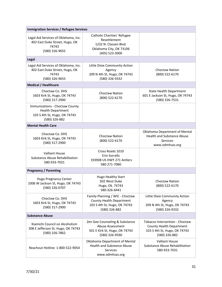| <b>Immigration Services / Refugee Services</b>                                                              |                                                                                                                   |                                                                                                             |
|-------------------------------------------------------------------------------------------------------------|-------------------------------------------------------------------------------------------------------------------|-------------------------------------------------------------------------------------------------------------|
| Legal Aid Services of Oklahoma, Inc.<br>402 East Duke Street, Hugo, OK<br>74743<br>(580) 326-9655           | Catholic Charities' Refugee<br>Resettlement<br>1232 N. Classen Blvd.<br>Oklahoma City, OK 73106<br>(405) 523-3000 |                                                                                                             |
| Legal                                                                                                       |                                                                                                                   |                                                                                                             |
| Legal Aid Services of Oklahoma, Inc.<br>402 East Duke Street, Hugo, OK<br>74743<br>(580) 326-9655           | Little Dixie Community Action<br>Agency<br>209 N 4th St, Hugo, OK 74743<br>(580) 326-9332                         | <b>Choctaw Nation</b><br>(800) 522-6170                                                                     |
| <b>Medical / Healthcare</b>                                                                                 |                                                                                                                   |                                                                                                             |
| Choctaw Co. DHS<br>1603 Kirk St, Hugo, OK 74743<br>(580) 317-2900                                           | <b>Choctaw Nation</b><br>(800) 522-6170                                                                           | <b>State Health Department</b><br>601 E Jackson St, Hugo, OK 74743<br>(580) 326-7531                        |
| Immunizations - Choctaw County<br><b>Health Department</b><br>103 S 4th St, Hugo, OK 74743<br>(580) 326-882 |                                                                                                                   |                                                                                                             |
| <b>Mental Health Care</b>                                                                                   |                                                                                                                   |                                                                                                             |
| Choctaw Co. DHS<br>1603 Kirk St, Hugo, OK 74743<br>(580) 317-2900                                           | <b>Choctaw Nation</b><br>(800) 522-6170                                                                           | Oklahoma Department of Mental<br><b>Health and Substance Abuse</b><br>Services<br>www.odmhsas.org           |
| <b>Valliant House</b><br>Substance Abuse Rehabilitation<br>580-933-7031                                     | Cross Roads 1010<br><b>Erin Sorrells</b><br>193908 US HWY 271 Antlers<br>580-271-7080                             |                                                                                                             |
| <b>Pregnancy / Parenting</b>                                                                                |                                                                                                                   |                                                                                                             |
| Hugo Pregnancy Center<br>1006 W Jackson St, Hugo, OK 74743<br>(580) 326-0707                                | Hugo Healthy Start<br>502 West Duke<br>Hugo, Ok. 74743<br>580-326-6441                                            | <b>Choctaw Nation</b><br>(800) 522-6170                                                                     |
| Choctaw Co. DHS<br>1603 Kirk St, Hugo, OK 74743<br>(580) 317-2900                                           | Family Planning / WIC - Choctaw<br>County Health Department<br>103 S 4th St, Hugo, OK 74743<br>(580) 326-882      | Little Dixie Community Action<br>Agency<br>209 N 4th St, Hugo, OK 74743<br>(580) 326-9332                   |
| <b>Substance Abuse</b>                                                                                      |                                                                                                                   |                                                                                                             |
| Kiamichi Council on Alcoholism<br>308 E Jefferson St, Hugo, OK 74743<br>(580) 326-7862                      | Zen Gee Counseling & Substance<br>Abuse Assessment<br>501 E Kirk St, Hugo, OK 74743<br>(580) 326-9590             | Tobacco Intervention - Choctaw<br>County Health Department<br>103 S 4th St, Hugo, OK 74743<br>(580) 326-882 |
| Reachout Hotline: 1-800-522-9054                                                                            | Oklahoma Department of Mental<br><b>Health and Substance Abuse</b><br><b>Services</b><br>www.odmhsas.org          | <b>Valliant House</b><br><b>Substance Abuse Rehabilitation</b><br>580-933-7031                              |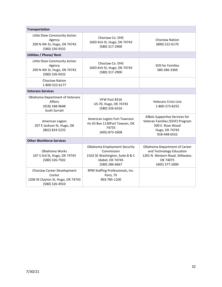| <b>Transportation</b>                                                                       |                                                                                                                     |                                                                                                                              |
|---------------------------------------------------------------------------------------------|---------------------------------------------------------------------------------------------------------------------|------------------------------------------------------------------------------------------------------------------------------|
| Little Dixie Community Action<br>Agency<br>209 N 4th St, Hugo, OK 74743<br>(580) 326-9332   | Choctaw Co. DHS<br>1603 Kirk St, Hugo, OK 74743<br>(580) 317-2900                                                   | <b>Choctaw Nation</b><br>(800) 522-6170                                                                                      |
| <b>Utilities / Phone/ Rent</b>                                                              |                                                                                                                     |                                                                                                                              |
| Little Dixie Community Action<br>Agency<br>209 N 4th St, Hugo, OK 74743<br>(580) 326-9332   | Choctaw Co. DHS<br>1603 Kirk St, Hugo, OK 74743<br>(580) 317-2900                                                   | SOS for Families<br>580-286-3369                                                                                             |
| <b>Choctaw Nation</b><br>1-800-522-6177                                                     |                                                                                                                     |                                                                                                                              |
| <b>Veterans Services</b>                                                                    |                                                                                                                     |                                                                                                                              |
| Oklahoma Department of Veterans<br><b>Affairs</b><br>(918) 348-9648<br><b>Scott Surratt</b> | VFW Post 8316<br>US-70, Hugo, OK 74743<br>(580) 326-6316                                                            | <b>Veterans Crisis Line</b><br>1-800-273-8255                                                                                |
| American Legion<br>207 E Jackson St, Hugo, OK<br>(862) 824-5225                             | American Legion Fort Townson<br>Hc 63 Box 1130Fort Towson, OK<br>74735<br>(405) 873-2608                            | KiBois Supportive Services for<br>Veteran Families (SSVF) Program<br>500 E. Rose Wood<br>Hugo, OK 74743<br>918-448-6552      |
| <b>Other Workforce Services</b>                                                             |                                                                                                                     |                                                                                                                              |
| Oklahoma Works<br>107 S 3rd St, Hugo, OK 74743<br>(580) 326-7502                            | Oklahoma Employment Security<br>Commission<br>2102 SE Washington, Suite B & C<br>Idabel, OK 74745<br>(580) 286-6667 | Oklahoma Department of Career<br>and Technology Education<br>1201 N. Western Road, Stillwater,<br>OK 74075<br>(405) 377-2000 |
| Choctaw Career Development<br>Center<br>1206 W Clayton St, Hugo, OK 74743<br>(580) 326-4910 | RPM Staffing Professionals, Inc.<br>Paris, TX<br>903-785-1100                                                       |                                                                                                                              |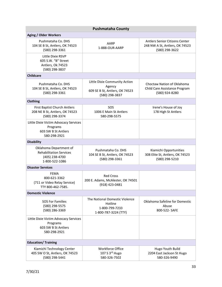<span id="page-32-0"></span>

| <b>Pushmataha County</b>                                                                     |                                                                                             |                                                                                    |  |
|----------------------------------------------------------------------------------------------|---------------------------------------------------------------------------------------------|------------------------------------------------------------------------------------|--|
| <b>Aging / Older Workers</b>                                                                 |                                                                                             |                                                                                    |  |
| Pushmataha Co. DHS<br>104 SE B St, Antlers, OK 74523<br>(580) 298-3361                       | AARP<br>1-888-OUR-AARP                                                                      | Antlers Senior Citizens Center<br>248 NW A St, Antlers, OK 74523<br>(580) 298-3622 |  |
| Little Dixie RSVP<br>605 S.W. "B" Street<br>Antlers, Ok 74523<br>(580) 298-3837              |                                                                                             |                                                                                    |  |
| <b>Childcare</b>                                                                             |                                                                                             |                                                                                    |  |
| Pushmataha Co. DHS<br>104 SE B St, Antlers, OK 74523<br>(580) 298-3361                       | Little Dixie Community Action<br>Agency<br>609 SE B St, Antlers, OK 74523<br>(580) 298-3837 | Choctaw Nation of Oklahoma<br>Child Care Assistance Program<br>(580) 924-8280      |  |
| Clothing                                                                                     |                                                                                             |                                                                                    |  |
| <b>First Baptist Church Antlers</b><br>208 NE B St, Antlers, OK 74523<br>(580) 298-3374      | SOS<br>1006 E Main St Antlers<br>580-298-5575                                               | Irene's House of Joy<br>178 High St Antlers                                        |  |
| Little Dixie Victim Advocacy Services<br>Programs<br>603 SW B St Antlers<br>580-298-2921     |                                                                                             |                                                                                    |  |
| <b>Disability</b>                                                                            |                                                                                             |                                                                                    |  |
| Oklahoma Department of<br><b>Rehabilitation Services</b><br>(405) 238-4700<br>1-800-522-1086 | Pushmataha Co. DHS<br>104 SE B St, Antlers, OK 74523<br>(580) 298-3361                      | Kiamichi Opportunities<br>308 Elite St, Antlers, OK 74523<br>(580) 298-5210        |  |
| <b>Disaster Services</b>                                                                     |                                                                                             |                                                                                    |  |
| <b>FEMA</b><br>800-621-3362<br>(711 or Video Relay Service)<br>TTY 800-462-7585.             | <b>Red Cross</b><br>200 E. Adams, McAlester, OK 74501<br>(918) 423-0481                     |                                                                                    |  |
| <b>Domestic Violence</b>                                                                     |                                                                                             |                                                                                    |  |
| <b>SOS For Families</b><br>(580) 298-5575<br>(580) 286-3369                                  | The National Domestic Violence<br>Hotline<br>1-800-799-7233<br>1-800-787-3224 (TTY)         | Oklahoma Safeline for Domestic<br>Abuse<br>800-522- SAFE                           |  |
| Little Dixie Victim Advocacy Services<br>Programs<br>603 SW B St Antlers<br>580-298-2921     |                                                                                             |                                                                                    |  |
| <b>Education/ Training</b>                                                                   |                                                                                             |                                                                                    |  |
| Kiamichi Technology Center<br>405 SW O St, Antlers, OK 74523<br>(580) 298-5441               | <b>Workforce Office</b><br>107 S 3 <sup>rd</sup> Hugo<br>580-326-7502                       | Hugo Youth Build<br>2204 East Jackson St Hugo<br>580-326-9490                      |  |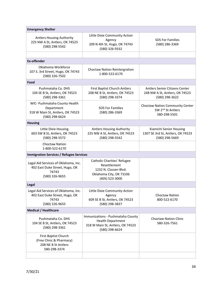| <b>Emergency Shelter</b>                                                                          |                                                                                                                     |                                                                                    |
|---------------------------------------------------------------------------------------------------|---------------------------------------------------------------------------------------------------------------------|------------------------------------------------------------------------------------|
| <b>Antlers Housing Authority</b><br>225 NW A St, Antlers, OK 74523<br>(580) 298-5542              | Little Dixie Community Action<br>Agency<br>209 N 4th St, Hugo, OK 74743<br>(580) 326-9332                           | <b>SOS For Families</b><br>(580) 286-3369                                          |
|                                                                                                   |                                                                                                                     |                                                                                    |
| <b>Ex-offender</b>                                                                                |                                                                                                                     |                                                                                    |
| Oklahoma Workforce<br>107 S. 3rd Street, Hugo, OK 74743<br>(580) 326-7502                         | Choctaw Nation Reintergration<br>1-800-522-6170                                                                     |                                                                                    |
| Food                                                                                              |                                                                                                                     |                                                                                    |
| Pushmataha Co. DHS<br>104 SE B St, Antlers, OK 74523<br>(580) 298-3361                            | First Baptist Church Antlers<br>208 NE B St, Antlers, OK 74523<br>(580) 298-3374                                    | Antlers Senior Citizens Center<br>248 NW A St, Antlers, OK 74523<br>(580) 298-3622 |
| WIC- Pushmataha County Health<br>Department<br>318 W Main St, Antlers, OK 74523<br>(580) 298-6624 | <b>SOS For Families</b><br>(580) 286-3369                                                                           | Choctaw Nation Community Center<br>SW 2 <sup>nd</sup> St Antlers<br>580-298-5501   |
| <b>Housing</b>                                                                                    |                                                                                                                     |                                                                                    |
| Little Dixie Housing<br>603 SW B St, Antlers, OK 74523<br>(580) 298-5572                          | <b>Antlers Housing Authority</b><br>225 NW A St, Antlers, OK 74523<br>(580) 298-5542                                | Kiamichi Senior Housing<br>1307 SE 3rd St, Antlers, OK 74523<br>(580) 298-5669     |
| <b>Choctaw Nation</b><br>1-800-522-6170                                                           |                                                                                                                     |                                                                                    |
| <b>Immigration Services / Refugee Services</b>                                                    |                                                                                                                     |                                                                                    |
| Legal Aid Services of Oklahoma, Inc.<br>402 East Duke Street, Hugo, OK<br>74743<br>(580) 326-9655 | Catholic Charities' Refugee<br>Resettlement<br>1232 N. Classen Blvd.<br>Oklahoma City, OK 73106<br>(405) 523-3000   |                                                                                    |
| Legal                                                                                             |                                                                                                                     |                                                                                    |
| Legal Aid Services of Oklahoma, Inc.<br>402 East Duke Street, Hugo, OK<br>74743<br>(580) 326-9655 | Little Dixie Community Action<br>Agency<br>609 SE B St, Antlers, OK 74523<br>(580) 298-3837                         | Choctaw Nation<br>800-522-6170                                                     |
| <b>Medical / Healthcare</b>                                                                       |                                                                                                                     |                                                                                    |
| Pushmataha Co. DHS<br>104 SE B St, Antlers, OK 74523<br>(580) 298-3361                            | Immunizations - Pushmataha County<br><b>Health Department</b><br>318 W Main St, Antlers, OK 74523<br>(580) 298-6624 | <b>Choctaw Nation Clinic</b><br>580-326-7561                                       |
| First Baptist Church<br>(Free Clinic & Pharmacy)<br>208 NE B St Antlers<br>580-298-3374           |                                                                                                                     |                                                                                    |
|                                                                                                   |                                                                                                                     |                                                                                    |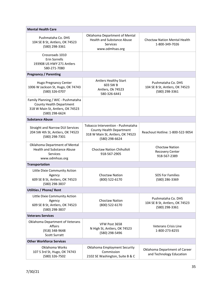| <b>Mental Health Care</b>                                                                                            |                                                                                                                     |                                                                        |
|----------------------------------------------------------------------------------------------------------------------|---------------------------------------------------------------------------------------------------------------------|------------------------------------------------------------------------|
| Pushmataha Co. DHS<br>104 SE B St, Antlers, OK 74523<br>(580) 298-3361                                               | Oklahoma Department of Mental<br><b>Health and Substance Abuse</b><br>Services<br>www.odmhsas.org                   | <b>Choctaw Nation Mental Health</b><br>1-800-349-7026                  |
| Crossroads 1010<br>Erin Sorrells<br>193908 US HWY 271 Antlers<br>580-271-7080                                        |                                                                                                                     |                                                                        |
| <b>Pregnancy / Parenting</b>                                                                                         |                                                                                                                     |                                                                        |
| <b>Hugo Pregnancy Center</b><br>1006 W Jackson St, Hugo, OK 74743<br>(580) 326-0707                                  | <b>Antlers Healthy Start</b><br>603 SW B<br>Antlers, Ok 74523<br>580-326-6441                                       | Pushmataha Co. DHS<br>104 SE B St, Antlers, OK 74523<br>(580) 298-3361 |
| Family Planning / WIC - Pushmataha<br>County Health Department<br>318 W Main St, Antlers, OK 74523<br>(580) 298-6624 |                                                                                                                     |                                                                        |
| <b>Substance Abuse</b>                                                                                               |                                                                                                                     |                                                                        |
| <b>Straight and Narrow DUI Services</b><br>204 SW 4th St, Antlers, OK 74523<br>(580) 298-7301                        | Tobacco Intervention - Pushmataha<br>County Health Department<br>318 W Main St, Antlers, OK 74523<br>(580) 298-6624 | Reachout Hotline: 1-800-522-9054                                       |
| Oklahoma Department of Mental<br><b>Health and Substance Abuse</b><br><b>Services</b><br>www.odmhsas.org             | <b>Choctaw Nation Chihulloli</b><br>918-567-2905                                                                    | <b>Choctaw Nation</b><br><b>Recovery Center</b><br>918-567-2389        |
| <b>Transportation</b>                                                                                                |                                                                                                                     |                                                                        |
| Little Dixie Community Action<br>Agency<br>609 SE B St, Antlers, OK 74523<br>(580) 298-3837                          | <b>Choctaw Nation</b><br>(800) 522-6170                                                                             | <b>SOS For Families</b><br>(580) 286-3369                              |
| Utilities / Phone/ Rent                                                                                              |                                                                                                                     |                                                                        |
| Little Dixie Community Action<br>Agency<br>609 SE B St, Antlers, OK 74523<br>(580) 298-3837                          | <b>Choctaw Nation</b><br>(800) 522-6170                                                                             | Pushmataha Co. DHS<br>104 SE B St, Antlers, OK 74523<br>(580) 298-3361 |
| <b>Veterans Services</b>                                                                                             |                                                                                                                     |                                                                        |
| Oklahoma Department of Veterans<br>Affairs<br>(918) 348-9648<br><b>Scott Surratt</b>                                 | VFW Post 3658<br>N High St, Antlers, OK 74523<br>(580) 298-5496                                                     | <b>Veterans Crisis Line</b><br>1-800-273-8255                          |
| <b>Other Workforce Services</b>                                                                                      |                                                                                                                     |                                                                        |
| Oklahoma Works<br>107 S 3rd St, Hugo, OK 74743<br>(580) 326-7502                                                     | Oklahoma Employment Security<br>Commission<br>2102 SE Washington, Suite B & C                                       | Oklahoma Department of Career<br>and Technology Education              |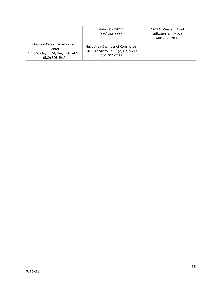|                                                                                             | Idabel, OK 74745<br>(580) 286-6667                                                   | 1201 N. Western Road<br>Stillwater, OK 74075<br>(405) 377-2000 |
|---------------------------------------------------------------------------------------------|--------------------------------------------------------------------------------------|----------------------------------------------------------------|
| Choctaw Career Development<br>Center<br>1206 W Clayton St, Hugo, OK 74743<br>(580) 326-4910 | Hugo Area Chamber of Commerce<br>200 S Broadway St, Hugo, OK 74743<br>(580) 326-7511 |                                                                |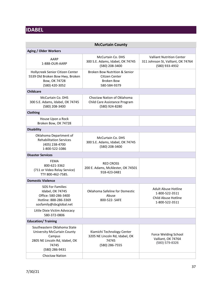## <span id="page-36-0"></span>**IDABEL**

<span id="page-36-1"></span>

| <b>McCurtain County</b>                                                                                                                  |                                                                                                 |                                                                                          |
|------------------------------------------------------------------------------------------------------------------------------------------|-------------------------------------------------------------------------------------------------|------------------------------------------------------------------------------------------|
| <b>Aging / Older Workers</b>                                                                                                             |                                                                                                 |                                                                                          |
| AARP<br>1-888-OUR-AARP                                                                                                                   | <b>McCurtain Co. DHS</b><br>300 S.E. Adams, Idabel, OK 74745<br>(580) 208-3400                  | <b>Valliant Nutrition Center</b><br>311 Johnson St, Valliant, OK 74764<br>(580) 933-4932 |
| Hollycreek Senior Citizen Center<br>5539 Old Broken Bow Hwy, Broken<br>Bow, OK 74728<br>(580) 420-3052                                   | <b>Broken Bow Nutrition &amp; Senior</b><br>Citizen Center<br><b>Broken Bow</b><br>580-584-9379 |                                                                                          |
| <b>Childcare</b>                                                                                                                         |                                                                                                 |                                                                                          |
| <b>McCurtain Co. DHS</b><br>300 S.E. Adams, Idabel, OK 74745<br>(580) 208-3400                                                           | Choctaw Nation of Oklahoma<br>Child Care Assistance Program<br>(580) 924-8280                   |                                                                                          |
| Clothing                                                                                                                                 |                                                                                                 |                                                                                          |
| House Upon a Rock<br>Broken Bow, OK 74728                                                                                                |                                                                                                 |                                                                                          |
| <b>Disability</b>                                                                                                                        |                                                                                                 |                                                                                          |
| Oklahoma Department of<br><b>Rehabilitation Services</b><br>(405) 238-4700<br>1-800-522-1086                                             | McCurtain Co. DHS<br>300 S.E. Adams, Idabel, OK 74745<br>(580) 208-3400                         |                                                                                          |
| <b>Disaster Services</b>                                                                                                                 |                                                                                                 |                                                                                          |
| <b>FEMA</b><br>800-621-3362<br>(711 or Video Relay Service)<br>TTY 800-462-7585.                                                         | <b>RED CROSS</b><br>200 E. Adams, McAlester, OK 74501<br>918-423-0481                           |                                                                                          |
| <b>Domestic Violence</b>                                                                                                                 |                                                                                                 |                                                                                          |
| <b>SOS For Families</b><br>Idabel, OK 74745<br>Office: 580-286-3400<br>Hotline: 888-286-3369<br>sosfamily@sbcglobal.net                  | Oklahoma Safeline for Domestic<br>Abuse<br>800-522- SAFE                                        | Adult Abuse Hotline<br>1-800-522-3511<br>Child Abuse Hotline<br>1-800-522-3511           |
| Little Dixie Victim Advocacy<br>580-372-0806                                                                                             |                                                                                                 |                                                                                          |
| <b>Education/Training</b>                                                                                                                |                                                                                                 |                                                                                          |
| Southeastern Oklahoma State<br><b>University McCurtain County</b><br>Campus<br>2805 NE Lincoln Rd, Idabel, OK<br>74745<br>(580) 286-9431 | Kiamichi Technology Center<br>3205 NE Lincoln Rd, Idabel, OK<br>74745<br>(580) 286-7555         | Force Welding School<br>Valliant, OK 74764<br>(580) 579-8326                             |
| Choctaw Nation                                                                                                                           |                                                                                                 |                                                                                          |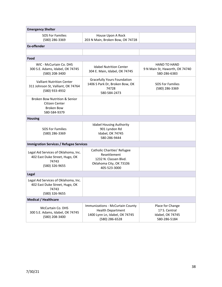| <b>Emergency Shelter</b>                                                                          |                                                                                                                  |                                                                              |
|---------------------------------------------------------------------------------------------------|------------------------------------------------------------------------------------------------------------------|------------------------------------------------------------------------------|
| <b>SOS For Families</b><br>(580) 286-3369                                                         | House Upon A Rock<br>203 N Main, Broken Bow, OK 74728                                                            |                                                                              |
| <b>Ex-offender</b>                                                                                |                                                                                                                  |                                                                              |
|                                                                                                   |                                                                                                                  |                                                                              |
| Food                                                                                              |                                                                                                                  |                                                                              |
| WIC - McCurtain Co. DHS<br>300 S.E. Adams, Idabel, OK 74745<br>(580) 208-3400                     | <b>Idabel Nutrition Center</b><br>304 E. Main, Idabel, OK 74745                                                  | <b>HAND TO HAND</b><br>9 N Main St, Haworth, OK 74740<br>580-286-6383        |
| <b>Valliant Nutrition Center</b><br>311 Johnson St, Valliant, OK 74764<br>(580) 933-4932          | <b>Gracefully Yours Foundation</b><br>1406 S Park Dr, Broken Bow, OK<br>74728<br>580-584-2473                    | <b>SOS For Families</b><br>(580) 286-3369                                    |
| <b>Broken Bow Nutrition &amp; Senior</b><br>Citizen Center<br><b>Broken Bow</b><br>580-584-9379   |                                                                                                                  |                                                                              |
| <b>Housing</b>                                                                                    |                                                                                                                  |                                                                              |
| <b>SOS For Families</b><br>(580) 286-3369                                                         | <b>Idabel Housing Authority</b><br>901 Lyndon Rd<br>Idabel, OK 74745<br>580-286-9444                             |                                                                              |
| <b>Immigration Services / Refugee Services</b>                                                    |                                                                                                                  |                                                                              |
| Legal Aid Services of Oklahoma, Inc.<br>402 East Duke Street, Hugo, OK<br>74743<br>(580) 326-9655 | Catholic Charities' Refugee<br>Resettlement<br>1232 N. Classen Blvd.<br>Oklahoma City, OK 73106<br>405-523-3000  |                                                                              |
| Legal                                                                                             |                                                                                                                  |                                                                              |
| Legal Aid Services of Oklahoma, Inc.<br>402 East Duke Street, Hugo, OK<br>74743<br>(580) 326-9655 |                                                                                                                  |                                                                              |
| <b>Medical / Healthcare</b>                                                                       |                                                                                                                  |                                                                              |
| McCurtain Co. DHS<br>300 S.E. Adams, Idabel, OK 74745<br>(580) 208-3400                           | Immunizations - McCurtain County<br><b>Health Department</b><br>1400 Lynn Ln, Idabel, OK 74745<br>(580) 286-6528 | Place for Change<br>17 S. Central<br><b>Idabel, OK 74745</b><br>580-286-5184 |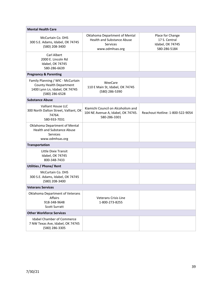| <b>Mental Health Care</b>                                                                                         |                                                                                                   |                                                                       |
|-------------------------------------------------------------------------------------------------------------------|---------------------------------------------------------------------------------------------------|-----------------------------------------------------------------------|
| McCurtain Co. DHS<br>300 S.E. Adams, Idabel, OK 74745<br>(580) 208-3400                                           | Oklahoma Department of Mental<br><b>Health and Substance Abuse</b><br>Services<br>www.odmhsas.org | Place for Change<br>17 S. Central<br>Idabel, OK 74745<br>580-286-5184 |
| Carl Albert<br>2000 E. Lincoln Rd<br>Idabel, OK 74745<br>580-286-6639                                             |                                                                                                   |                                                                       |
| <b>Pregnancy &amp; Parenting</b>                                                                                  |                                                                                                   |                                                                       |
| Family Planning / WIC - McCurtain<br>County Health Department<br>1400 Lynn Ln, Idabel, OK 74745<br>(580) 286-6528 | WeeCare<br>110 E Main St, Idabel, OK 74745<br>(580) 286-5390                                      |                                                                       |
| <b>Substance Abuse</b>                                                                                            |                                                                                                   |                                                                       |
| <b>Valliant House LLC</b><br>300 North Dalton Street, Valliant, OK<br>74764.<br>580-933-7031                      | Kiamichi Council on Alcoholism and<br>104 NE Avenue A, Idabel, OK 74745.<br>580-286-3301          | Reachout Hotline: 1-800-522-9054                                      |
| Oklahoma Department of Mental<br><b>Health and Substance Abuse</b><br><b>Services</b><br>www.odmhsas.org          |                                                                                                   |                                                                       |
| <b>Transportation</b>                                                                                             |                                                                                                   |                                                                       |
| Little Dixie Transit<br>Idabel, OK 74745<br>800-348-7433                                                          |                                                                                                   |                                                                       |
| <b>Utilities / Phone/ Rent</b>                                                                                    |                                                                                                   |                                                                       |
| McCurtain Co. DHS<br>300 S.E. Adams, Idabel, OK 74745<br>(580) 208-3400                                           |                                                                                                   |                                                                       |
| <b>Veterans Services</b>                                                                                          |                                                                                                   |                                                                       |
| Oklahoma Department of Veterans<br>Affairs<br>918-348-9648<br><b>Scott Surratt</b>                                | <b>Veterans Crisis Line</b><br>1-800-273-8255                                                     |                                                                       |
| <b>Other Workforce Services</b>                                                                                   |                                                                                                   |                                                                       |
| <b>Idabel Chamber of Commerce</b><br>7 NW Texas Ave, Idabel, OK 74745<br>(580) 286-3305                           |                                                                                                   |                                                                       |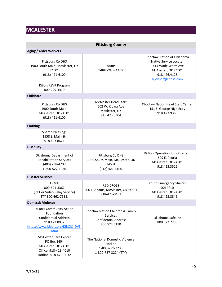## <span id="page-39-0"></span>**MCALESTER**

<span id="page-39-1"></span>

| <b>Pittsburg County</b>                                                                                                             |                                                                                             |                                                                                                                                          |
|-------------------------------------------------------------------------------------------------------------------------------------|---------------------------------------------------------------------------------------------|------------------------------------------------------------------------------------------------------------------------------------------|
| <b>Aging / Older Workers</b>                                                                                                        |                                                                                             |                                                                                                                                          |
| Pittsburg Co DHS<br>1900 South Main, McAlester, OK<br>74501<br>(918) 421-6100                                                       | AARP<br>1-888-OUR-AARP                                                                      | Choctaw Nation of Oklahoma<br>Native Service Locater<br>1414 Wade Watts Ave<br>McAlester, OK 74501<br>918.426.4125<br>lkjoyner@cnhsa.com |
| KiBois RSVP Program<br>800-299-4479                                                                                                 |                                                                                             |                                                                                                                                          |
| <b>Childcare</b>                                                                                                                    |                                                                                             |                                                                                                                                          |
| Pittsburg Co DHS<br>1900 South Main,<br>McAlester, OK 74501<br>(918) 421-6100                                                       | <b>McAlester Head Start</b><br>502 W. Kiowa Ave<br>McAlester, OK<br>918.423.8304            | <b>Choctaw Nation Head Start Center</b><br>151 S. George Nigh Expy<br>918.423.9360                                                       |
| Clothing                                                                                                                            |                                                                                             |                                                                                                                                          |
| <b>Shared Blessings</b><br>1558 S. Main St.<br>918.423.8624                                                                         |                                                                                             |                                                                                                                                          |
| <b>Disability</b>                                                                                                                   |                                                                                             |                                                                                                                                          |
| Oklahoma Department of<br><b>Rehabilitation Services</b><br>(405) 238-4700<br>1-800-522-1086                                        | Pittsburg Co DHS<br>1900 South Main, McAlester, OK<br>74501<br>(918) 421-6100               | Ki Bois Operation Jobs Program<br>609 E. Peoria<br>McAlester, OK 74501<br>918.423.3525                                                   |
| <b>Disaster Services</b>                                                                                                            |                                                                                             |                                                                                                                                          |
| FEMA<br>800-621-3362<br>(711 or Video Relay Service)<br>TTY 800-462-7585.                                                           | <b>RED CROSS</b><br>200 E. Adams, McAlester, OK 74501<br>918-423-0481                       | Youth Emergency Shelter<br>904 9th St<br>McAlester, OK 74501<br>918.423.8845                                                             |
| <b>Domestic Violence</b>                                                                                                            |                                                                                             |                                                                                                                                          |
| Ki Bois Community Action<br>Foundation<br><b>Confidential Address</b><br>918.423.0032<br>https://www.kibois.org/KIBOIS DVS.<br>html | Choctaw Nation Children & Family<br>Services<br><b>Confidential Address</b><br>800.522.6170 | Oklahoma Safeline<br>800.522.7233                                                                                                        |
| <b>McAlester Care Center</b><br>PO Box 1404<br>McAlester, OK 74501<br>Office: 918-423-4010<br>Hotline: 918-423-0032                 | The National Domestic Violence<br>Hotline<br>1-800-799-7233<br>1-800-787-3224 (TTY)         |                                                                                                                                          |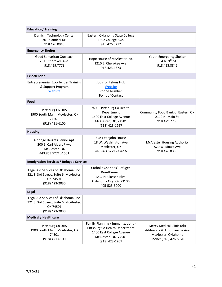| <b>Education/Training</b>                                                                                    |                                                                                                                                           |                                                                                                          |
|--------------------------------------------------------------------------------------------------------------|-------------------------------------------------------------------------------------------------------------------------------------------|----------------------------------------------------------------------------------------------------------|
| Kiamichi Technology Center<br>301 Kiamichi Dr.<br>918.426.0940                                               | Eastern Oklahoma State College<br>1802 College Ave.<br>918.426.5272                                                                       |                                                                                                          |
| <b>Emergency Shelter</b>                                                                                     |                                                                                                                                           |                                                                                                          |
| Good Samaritan Outreach<br>20 E. Cherokee Ave.<br>918.429.7773                                               | Hope House of McAlester Inc.<br>1210 E. Cherokee Ave.<br>918.423.4673                                                                     | Youth Emergency Shelter<br>904 N. 9TH St.<br>918.423.8845                                                |
| <b>Ex-offender</b>                                                                                           |                                                                                                                                           |                                                                                                          |
| <b>Entrepreneurial Ex-offender Training</b><br>& Support Program<br>Website                                  | Jobs for Felons Hub<br>Website<br><b>Phone Number</b><br>Point of Contact                                                                 |                                                                                                          |
| Food                                                                                                         |                                                                                                                                           |                                                                                                          |
| Pittsburg Co DHS<br>1900 South Main, McAlester, OK<br>74501<br>(918) 421-6100                                | WIC - Pittsburg Co Health<br>Department<br>1400 East College Avenue<br>McAlester, OK, 74501<br>(918) 423-1267                             | Community Food Bank of Eastern OK<br>2119 N. Main St.<br>918.429.7755                                    |
| <b>Housing</b>                                                                                               |                                                                                                                                           |                                                                                                          |
| Aldridge Heights Senior Apt.<br>200 E. Carl Albert Pkwy<br>McAlester, OK<br>443.863.5271 x1501               | Sue Littlejohn House<br>18 W. Washington Ave<br>McAlester, OK<br>443.863.5271 x47616                                                      | <b>McAlester Housing Authority</b><br>520 W. Kiowa Ave<br>918.426.0335                                   |
| <b>Immigration Services / Refugee Services</b>                                                               |                                                                                                                                           |                                                                                                          |
| Legal Aid Services of Oklahoma, Inc.<br>321 S. 3rd Street, Suite 6, McAlester,<br>OK 74501<br>(918) 423-2030 | Catholic Charities' Refugee<br>Resettlement<br>1232 N. Classen Blvd.<br>Oklahoma City, OK 73106<br>405-523-3000                           |                                                                                                          |
| Legal                                                                                                        |                                                                                                                                           |                                                                                                          |
| Legal Aid Services of Oklahoma, Inc.<br>321 S. 3rd Street, Suite 6, McAlester,<br>OK 74501<br>(918) 423-2030 |                                                                                                                                           |                                                                                                          |
| <b>Medical / Healthcare</b>                                                                                  |                                                                                                                                           |                                                                                                          |
| Pittsburg Co DHS<br>1900 South Main, McAlester, OK<br>74501<br>(918) 421-6100                                | Family Planning / Immunizations -<br>Pittsburg Co Health Department<br>1400 East College Avenue<br>McAlester, OK, 74501<br>(918) 423-1267 | Mercy Medical Clinic (ok)<br>Address: 220 E Comanche Ave<br>McAlester, Oklahoma<br>Phone: (918) 426-5970 |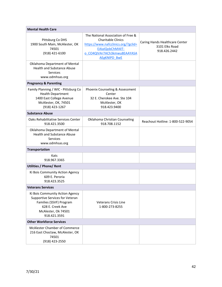| <b>Mental Health Care</b>                                                                                                                                |                                                                                                                                                                                  |                                                                  |
|----------------------------------------------------------------------------------------------------------------------------------------------------------|----------------------------------------------------------------------------------------------------------------------------------------------------------------------------------|------------------------------------------------------------------|
| Pittsburg Co DHS<br>1900 South Main, McAlester, OK<br>74501<br>(918) 421-6100                                                                            | The National Association of Free &<br><b>Charitable Clinics</b><br>https://www.nafcclinics.org/?gclid=<br>EAIaIQobChMI4IT-<br>o CO4QIVAr7ACh3kmwu8EAAYASA<br><b>AEgKNIPD BwE</b> | Caring Hands Healthcare Center<br>3101 Elks Road<br>918.426.2442 |
| Oklahoma Department of Mental<br><b>Health and Substance Abuse</b><br><b>Services</b><br>www.odmhsas.org                                                 |                                                                                                                                                                                  |                                                                  |
| <b>Pregnancy &amp; Parenting</b>                                                                                                                         |                                                                                                                                                                                  |                                                                  |
| Family Planning / WIC - Pittsburg Co<br><b>Health Department</b><br>1400 East College Avenue<br>McAlester, OK, 74501<br>(918) 423-1267                   | Phoenix Counseling & Assessment<br>Center<br>32 E. Cherokee Ave. Ste 104<br>McAlester, OK<br>918.423.9400                                                                        |                                                                  |
| <b>Substance Abuse</b>                                                                                                                                   |                                                                                                                                                                                  |                                                                  |
| Oaks Rehabilitative Services Center<br>918.421.3500                                                                                                      | Oklahoma Christian Counseling<br>918.708.1152                                                                                                                                    | Reachout Hotline: 1-800-522-9054                                 |
| Oklahoma Department of Mental<br><b>Health and Substance Abuse</b><br><b>Services</b><br>www.odmhsas.org                                                 |                                                                                                                                                                                  |                                                                  |
| <b>Transportation</b>                                                                                                                                    |                                                                                                                                                                                  |                                                                  |
| Kats<br>918.967.3365                                                                                                                                     |                                                                                                                                                                                  |                                                                  |
| <b>Utilities / Phone/ Rent</b>                                                                                                                           |                                                                                                                                                                                  |                                                                  |
| Ki Bois Community Action Agency<br>609 E. Peroria<br>918.423.3525                                                                                        |                                                                                                                                                                                  |                                                                  |
| <b>Veterans Services</b>                                                                                                                                 |                                                                                                                                                                                  |                                                                  |
| Ki Bois Community Action Agency<br>Supportive Services for Veteran<br>Families (SSVF) Program<br>628 E. Creek Ave<br>McAlester, Ok 74501<br>918.421.3591 | <b>Veterans Crisis Line</b><br>1-800-273-8255                                                                                                                                    |                                                                  |
| <b>Other Workforce Services</b>                                                                                                                          |                                                                                                                                                                                  |                                                                  |
| <b>McAlester Chamber of Commerce</b><br>216 East Choctaw, McAlester, OK<br>74501<br>(918) 423-2550                                                       |                                                                                                                                                                                  |                                                                  |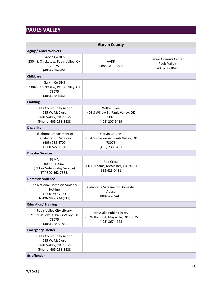## <span id="page-42-0"></span>**PAULS VALLEY**

<span id="page-42-1"></span>

| <b>Garvin County</b>                                                                              |                                                                                    |                                                         |
|---------------------------------------------------------------------------------------------------|------------------------------------------------------------------------------------|---------------------------------------------------------|
| <b>Aging / Older Workers</b>                                                                      |                                                                                    |                                                         |
| Garvin Co DHS<br>2304 S. Chickasaw, Pauls Valley, OK<br>73075<br>(405) 238-6461                   | AARP<br>1-888-OUR-AARP                                                             | Senior Citizen's Center<br>Pauls Valley<br>405-238-3048 |
| <b>Childcare</b>                                                                                  |                                                                                    |                                                         |
| Garvin Co DHS<br>2304 S. Chickasaw, Pauls Valley, OK<br>73075<br>(405) 238-6461                   |                                                                                    |                                                         |
| <b>Clothing</b>                                                                                   |                                                                                    |                                                         |
| Delta Community Action<br>225 W. McClure<br>Pauls Valley, OK 73075<br>(Phone) 405-238-3838        | <b>Willow Tree</b><br>408 S Willow St, Pauls Valley, OK<br>73075<br>(405) 207-9419 |                                                         |
| <b>Disability</b>                                                                                 |                                                                                    |                                                         |
| Oklahoma Department of<br><b>Rehabilitation Services</b><br>(405) 238-4700<br>1-800-522-1086      | Garvin Co DHS<br>2304 S. Chickasaw, Pauls Valley, OK<br>73075<br>(405) 238-6461    |                                                         |
| <b>Disaster Services</b>                                                                          |                                                                                    |                                                         |
| <b>FEMA</b><br>800-621-3362<br>(711 or Video Relay Service)<br>TTY 800-462-7585.                  | <b>Red Cross</b><br>200 E. Adams, McAlester, OK 74501<br>918-423-0481              |                                                         |
| <b>Domestic Violence</b>                                                                          |                                                                                    |                                                         |
| The National Domestic Violence<br>Hotline<br>1-800-799-7233<br>1-800-787-3224 (TTY)               | Oklahoma Safeline for Domestic<br>Abuse<br>800-522- SAFE                           |                                                         |
| <b>Education/ Training</b>                                                                        |                                                                                    |                                                         |
| Pauls Valley City Library<br>210 N Willow St, Pauls Valley, OK<br>73075<br>(405) 238-5188         | Maysville Public Library<br>506 Williams St, Maysville, OK 73075<br>(405) 867-4748 |                                                         |
| <b>Emergency Shelter</b>                                                                          |                                                                                    |                                                         |
| <b>Delta Community Action</b><br>225 W. McClure<br>Pauls Valley, OK 73075<br>(Phone) 405-238-3838 |                                                                                    |                                                         |
| <b>Ex-offender</b>                                                                                |                                                                                    |                                                         |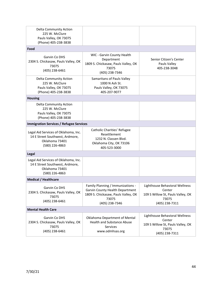| 2304 S. Chickasaw, Pauls Valley, OK<br>73075<br>(405) 238-6461                                              | <b>Health and Substance Abuse</b><br>Services<br>www.odmhsas.org                                                     | Center<br>109 S Willow St, Pauls Valley, OK<br>73075<br>(405) 238-7311                 |
|-------------------------------------------------------------------------------------------------------------|----------------------------------------------------------------------------------------------------------------------|----------------------------------------------------------------------------------------|
| Garvin Co DHS                                                                                               | Oklahoma Department of Mental                                                                                        | Lighthouse Behavioral Wellness                                                         |
| <b>Mental Health Care</b>                                                                                   | (405) 238-7346                                                                                                       | (405) 238-7311                                                                         |
| Garvin Co DHS<br>2304 S. Chickasaw, Pauls Valley, OK<br>73075<br>(405) 238-6461                             | Family Planning / Immunizations -<br>Garvin County Health Department<br>1809 S. Chickasaw, Pauls Valley, OK<br>73075 | Lighthouse Behavioral Wellness<br>Center<br>109 S Willow St, Pauls Valley, OK<br>73075 |
| <b>Medical / Healthcare</b>                                                                                 |                                                                                                                      |                                                                                        |
| Legal Aid Services of Oklahoma, Inc.<br>14 E Street Southwest, Ardmore,<br>Oklahoma 73401<br>(580) 226-4863 |                                                                                                                      |                                                                                        |
| <b>Legal</b>                                                                                                |                                                                                                                      |                                                                                        |
| Legal Aid Services of Oklahoma, Inc.<br>14 E Street Southwest, Ardmore,<br>Oklahoma 73401<br>(580) 226-4863 | Catholic Charities' Refugee<br>Resettlement<br>1232 N. Classen Blvd.<br>Oklahoma City, OK 73106<br>405-523-3000      |                                                                                        |
| <b>Immigration Services / Refugee Services</b>                                                              |                                                                                                                      |                                                                                        |
| <b>Delta Community Action</b><br>225 W. McClure<br>Pauls Valley, OK 73075<br>(Phone) 405-238-3838           |                                                                                                                      |                                                                                        |
| <b>Housing</b>                                                                                              |                                                                                                                      |                                                                                        |
| Delta Community Action<br>225 W. McClure<br>Pauls Valley, OK 73075<br>(Phone) 405-238-3838                  | Samaritans of Pauls Valley<br>1000 N Ash St.<br>Pauls Valley, OK 73075<br>405-207-9077                               |                                                                                        |
| Garvin Co DHS<br>2304 S. Chickasaw, Pauls Valley, OK<br>73075<br>(405) 238-6461                             | WIC - Garvin County Health<br>Department<br>1809 S. Chickasaw, Pauls Valley, OK<br>73075<br>(405) 238-7346           | Senior Citizen's Center<br>Pauls Valley<br>405-238-3048                                |
| Food                                                                                                        |                                                                                                                      |                                                                                        |
| Delta Community Action<br>225 W. McClure<br>Pauls Valley, OK 73075<br>(Phone) 405-238-3838                  |                                                                                                                      |                                                                                        |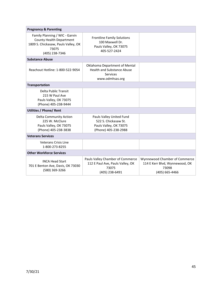| <b>Pregnancy &amp; Parenting</b>                                                                                                    |                                                                                                    |                                                                                            |
|-------------------------------------------------------------------------------------------------------------------------------------|----------------------------------------------------------------------------------------------------|--------------------------------------------------------------------------------------------|
| Family Planning / WIC - Garvin<br><b>County Health Department</b><br>1809 S. Chickasaw, Pauls Valley, OK<br>73075<br>(405) 238-7346 | <b>Frontline Family Solutions</b><br>100 Maxwell Dr.<br>Pauls Valley, OK 73075<br>405-527-2424     |                                                                                            |
| <b>Substance Abuse</b>                                                                                                              |                                                                                                    |                                                                                            |
| Reachout Hotline: 1-800-522-9054                                                                                                    | Oklahoma Department of Mental<br><b>Health and Substance Abuse</b><br>Services<br>www.odmhsas.org  |                                                                                            |
| <b>Transportation</b>                                                                                                               |                                                                                                    |                                                                                            |
| Delta Public Transit<br>215 W Paul Ave<br>Pauls Valley, OK 73075<br>(Phone) 405-238-9444                                            |                                                                                                    |                                                                                            |
| <b>Utilities / Phone/ Rent</b>                                                                                                      |                                                                                                    |                                                                                            |
| <b>Delta Community Action</b><br>225 W. McClure<br>Pauls Valley, OK 73075<br>(Phone) 405-238-3838                                   | Pauls Valley United Fund<br>522 S. Chickasaw St.<br>Pauls Valley, OK 73075<br>(Phone) 405-238-2988 |                                                                                            |
| <b>Veterans Services</b>                                                                                                            |                                                                                                    |                                                                                            |
| <b>Veterans Crisis Line</b><br>1-800-273-8255                                                                                       |                                                                                                    |                                                                                            |
| <b>Other Workforce Services</b>                                                                                                     |                                                                                                    |                                                                                            |
| <b>INCA Head Start</b><br>701 E Benton Ave, Davis, OK 73030<br>(580) 369-3266                                                       | Pauls Valley Chamber of Commerce<br>112 E Paul Ave, Pauls Valley, OK<br>73075<br>(405) 238-6491    | Wynnewood Chamber of Commerce<br>114 E Kerr Blvd, Wynnewood, OK<br>73098<br>(405) 665-4466 |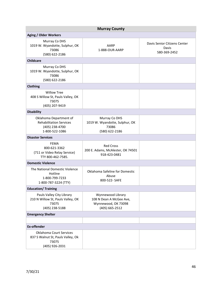<span id="page-45-0"></span>

| <b>Murray County</b>                                                                         |                                                                                       |                                                       |  |
|----------------------------------------------------------------------------------------------|---------------------------------------------------------------------------------------|-------------------------------------------------------|--|
| <b>Aging / Older Workers</b>                                                                 |                                                                                       |                                                       |  |
| Murray Co DHS<br>1019 W. Wyandotte, Sulphur, OK<br>73086<br>(580) 622-2186                   | AARP<br>1-888-OUR-AARP                                                                | Davis Senior Citizens Center<br>Davis<br>580-369-2452 |  |
| <b>Childcare</b>                                                                             |                                                                                       |                                                       |  |
| Murray Co DHS<br>1019 W. Wyandotte, Sulphur, OK<br>73086<br>(580) 622-2186                   |                                                                                       |                                                       |  |
| Clothing                                                                                     |                                                                                       |                                                       |  |
| <b>Willow Tree</b><br>408 S Willow St, Pauls Valley, OK<br>73075<br>(405) 207-9419           |                                                                                       |                                                       |  |
| <b>Disability</b>                                                                            |                                                                                       |                                                       |  |
| Oklahoma Department of<br><b>Rehabilitation Services</b><br>(405) 238-4700<br>1-800-522-1086 | Murray Co DHS<br>1019 W. Wyandotte, Sulphur, OK<br>73086<br>(580) 622-2186            |                                                       |  |
| <b>Disaster Services</b>                                                                     |                                                                                       |                                                       |  |
| <b>FEMA</b><br>800-621-3362<br>(711 or Video Relay Service)<br>TTY 800-462-7585.             | <b>Red Cross</b><br>200 E. Adams, McAlester, OK 74501<br>918-423-0481                 |                                                       |  |
| <b>Domestic Violence</b>                                                                     |                                                                                       |                                                       |  |
| The National Domestic Violence<br>Hotline<br>1-800-799-7233<br>1-800-787-3224 (TTY)          | Oklahoma Safeline for Domestic<br>Abuse<br>800-522- SAFE                              |                                                       |  |
| <b>Education/Training</b>                                                                    |                                                                                       |                                                       |  |
| Pauls Valley City Library<br>210 N Willow St, Pauls Valley, OK<br>73075<br>(405) 238-5188    | Wynnewood Library<br>108 N Dean A McGee Ave,<br>Wynnewood, OK 73098<br>(405) 665-2512 |                                                       |  |
| <b>Emergency Shelter</b>                                                                     |                                                                                       |                                                       |  |
|                                                                                              |                                                                                       |                                                       |  |
| <b>Ex-offender</b>                                                                           |                                                                                       |                                                       |  |
| Oklahoma Court Services<br>837 S Walnut St, Pauls Valley, Ok<br>73075<br>(405) 926-2031      |                                                                                       |                                                       |  |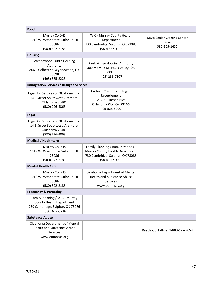| Food                                                                                                             |                                                                                                                            |                                                       |
|------------------------------------------------------------------------------------------------------------------|----------------------------------------------------------------------------------------------------------------------------|-------------------------------------------------------|
| Murray Co DHS<br>1019 W. Wyandotte, Sulphur, OK<br>73086<br>(580) 622-2186                                       | WIC - Murray County Health<br>Department<br>730 Cambridge, Sulphur, OK 73086<br>(580) 622-3716                             | Davis Senior Citizens Center<br>Davis<br>580-369-2452 |
| <b>Housing</b>                                                                                                   |                                                                                                                            |                                                       |
| Wynnewood Public Housing<br>Authority<br>806 E Colbert St, Wynnewood, OK<br>73098<br>(405) 665-2223              | Pauls Valley Housing Authority<br>300 Melville Dr, Pauls Valley, OK<br>73075<br>(405) 238-7507                             |                                                       |
| <b>Immigration Services / Refugee Services</b>                                                                   |                                                                                                                            |                                                       |
| Legal Aid Services of Oklahoma, Inc.<br>14 E Street Southwest, Ardmore,<br>Oklahoma 73401<br>(580) 226-4863      | Catholic Charities' Refugee<br>Resettlement<br>1232 N. Classen Blvd.<br>Oklahoma City, OK 73106<br>405-523-3000            |                                                       |
| Legal                                                                                                            |                                                                                                                            |                                                       |
| Legal Aid Services of Oklahoma, Inc.<br>14 E Street Southwest, Ardmore,<br>Oklahoma 73401<br>(580) 226-4863      |                                                                                                                            |                                                       |
| <b>Medical / Healthcare</b>                                                                                      |                                                                                                                            |                                                       |
| Murray Co DHS<br>1019 W. Wyandotte, Sulphur, OK<br>73086<br>(580) 622-2186                                       | Family Planning / Immunizations -<br>Murray County Health Department<br>730 Cambridge, Sulphur, OK 73086<br>(580) 622-3716 |                                                       |
| <b>Mental Health Care</b>                                                                                        |                                                                                                                            |                                                       |
| Murray Co DHS<br>1019 W. Wyandotte, Sulphur, OK<br>73086<br>(580) 622-2186                                       | Oklahoma Department of Mental<br><b>Health and Substance Abuse</b><br><b>Services</b><br>www.odmhsas.org                   |                                                       |
| <b>Pregnancy &amp; Parenting</b>                                                                                 |                                                                                                                            |                                                       |
| Family Planning / WIC - Murray<br>County Health Department<br>730 Cambridge, Sulphur, OK 73086<br>(580) 622-3716 |                                                                                                                            |                                                       |
| <b>Substance Abuse</b>                                                                                           |                                                                                                                            |                                                       |
| Oklahoma Department of Mental<br><b>Health and Substance Abuse</b><br><b>Services</b><br>www.odmhsas.org         |                                                                                                                            | Reachout Hotline: 1-800-522-9054                      |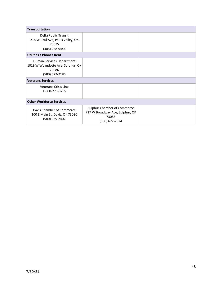| <b>Transportation</b>                                                                      |                                                                                           |  |
|--------------------------------------------------------------------------------------------|-------------------------------------------------------------------------------------------|--|
| <b>Delta Public Transit</b><br>215 W Paul Ave, Pauls Valley, OK<br>73075<br>(405) 238-9444 |                                                                                           |  |
| <b>Utilities / Phone/ Rent</b>                                                             |                                                                                           |  |
| Human Services Department<br>1019 W Wyandotte Ave, Sulphur, OK<br>73086<br>(580) 622-2186  |                                                                                           |  |
| <b>Veterans Services</b>                                                                   |                                                                                           |  |
| <b>Veterans Crisis Line</b><br>1-800-273-8255                                              |                                                                                           |  |
| <b>Other Workforce Services</b>                                                            |                                                                                           |  |
| Davis Chamber of Commerce<br>100 E Main St, Davis, OK 73030<br>(580) 369-2402              | Sulphur Chamber of Commerce<br>717 W Broadway Ave, Sulphur, OK<br>73086<br>(580) 622-2824 |  |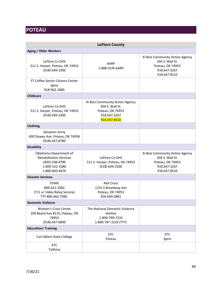## <span id="page-48-0"></span>**POTEAU**

<span id="page-48-1"></span>

| <b>LeFlore County</b>                                                                                          |                                                                                                        |                                                                                                        |  |
|----------------------------------------------------------------------------------------------------------------|--------------------------------------------------------------------------------------------------------|--------------------------------------------------------------------------------------------------------|--|
| <b>Aging / Older Workers</b>                                                                                   |                                                                                                        |                                                                                                        |  |
| LeFlore Co DHS<br>511 S. Harper, Poteau, OK 74953<br>(918) 649-2300                                            | AARP<br>1-888-OUR-AARP                                                                                 | Ki Bois Community Action Agency<br>204 S. Wall St.<br>Poteau, OK 74953<br>918.647.3267<br>918.647.8510 |  |
| FT Coffee Senior Citizens Center<br>Spiro<br>918-962-2685                                                      |                                                                                                        |                                                                                                        |  |
| <b>Childcare</b>                                                                                               |                                                                                                        |                                                                                                        |  |
| LeFlore Co DHS<br>511 S. Harper, Poteau, OK 74953<br>(918) 649-2300                                            | Ki Bois Community Action Agency<br>204 S. Wall St.<br>Poteau, OK 74953<br>918.647.3267<br>918.647.8510 |                                                                                                        |  |
| Clothing                                                                                                       |                                                                                                        |                                                                                                        |  |
| Salvation Army<br>400 Dewey Ave, Poteau, OK 74958<br>(918) 647-8780                                            |                                                                                                        |                                                                                                        |  |
| <b>Disability</b>                                                                                              |                                                                                                        |                                                                                                        |  |
| Oklahoma Department of<br><b>Rehabilitation Services</b><br>(405) 238-4700<br>1-800-522-1086<br>1-800-845-8476 | LeFlore Co DHS<br>511 S. Harper, Poteau, OK 74953<br>$(918) 649 - 2300$                                | Ki Bois Community Action Agency<br>204 S. Wall St.<br>Poteau, OK 74953<br>918.647.3267<br>918.647.8510 |  |
| <b>Disaster Services</b>                                                                                       |                                                                                                        |                                                                                                        |  |
| FEMA<br>800-621-3362<br>(711 or Video Relay Service)<br>TTY 800-462-7585.<br><b>Domestic Violence</b>          | <b>Red Cross</b><br>1215 S Broadway Ave<br>Poteau, OK 74953<br>918-649-0881                            |                                                                                                        |  |
| Women's Crisis Center                                                                                          | The National Domestic Violence                                                                         |                                                                                                        |  |
| 109 Beard Ave #110, Poteau, OK<br>74953<br>(918) 647-9800                                                      | Hotline<br>1-800-799-7233<br>1-800-787-3224 (TTY)                                                      |                                                                                                        |  |
| <b>Education/ Training</b>                                                                                     |                                                                                                        |                                                                                                        |  |
| Carl Albert State College                                                                                      | KTC<br>Poteau                                                                                          | KTC<br>Spiro                                                                                           |  |
| <b>KTC</b><br>Talihina                                                                                         |                                                                                                        |                                                                                                        |  |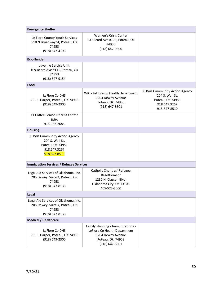| <b>Emergency Shelter</b>                                                                               |                                                                                                                               |                                                                                                        |  |
|--------------------------------------------------------------------------------------------------------|-------------------------------------------------------------------------------------------------------------------------------|--------------------------------------------------------------------------------------------------------|--|
| Le Flore County Youth Services<br>510 N Broadway St, Poteau, OK<br>74953<br>(918) 647-4196             | <b>Women's Crisis Center</b><br>109 Beard Ave #110, Poteau, OK<br>74953<br>(918) 647-9800                                     |                                                                                                        |  |
| <b>Ex-offender</b>                                                                                     |                                                                                                                               |                                                                                                        |  |
| Juvenile Service Unit<br>109 Beard Ave #111, Poteau, OK<br>74953<br>(918) 647-9154                     |                                                                                                                               |                                                                                                        |  |
| Food                                                                                                   |                                                                                                                               |                                                                                                        |  |
| LeFlore Co DHS<br>511 S. Harper, Poteau, OK 74953<br>(918) 649-2300                                    | WIC - LeFlore Co Health Department<br>1204 Dewey Avenue<br>Poteau, Ok. 74953<br>(918) 647-8601                                | Ki Bois Community Action Agency<br>204 S. Wall St.<br>Poteau, OK 74953<br>918.647.3267<br>918-647-8510 |  |
| FT Coffee Senior Citizens Center<br>Spiro<br>918-962-2685                                              |                                                                                                                               |                                                                                                        |  |
| <b>Housing</b>                                                                                         |                                                                                                                               |                                                                                                        |  |
| Ki Bois Community Action Agency<br>204 S. Wall St.<br>Poteau, OK 74953<br>918.647.3267<br>918.647.8510 |                                                                                                                               |                                                                                                        |  |
| <b>Immigration Services / Refugee Services</b>                                                         |                                                                                                                               |                                                                                                        |  |
| Legal Aid Services of Oklahoma, Inc.<br>205 Dewey, Suite 4, Poteau, OK<br>74953<br>(918) 647-8136      | Catholic Charities' Refugee<br>Resettlement<br>1232 N. Classen Blvd.<br>Oklahoma City, OK 73106<br>405-523-3000               |                                                                                                        |  |
| Legal                                                                                                  |                                                                                                                               |                                                                                                        |  |
| Legal Aid Services of Oklahoma, Inc.<br>205 Dewey, Suite 4, Poteau, OK<br>74953<br>(918) 647-8136      |                                                                                                                               |                                                                                                        |  |
| <b>Medical / Healthcare</b>                                                                            |                                                                                                                               |                                                                                                        |  |
| LeFlore Co DHS<br>511 S. Harper, Poteau, OK 74953<br>(918) 649-2300                                    | Family Planning / Immunizations -<br>LeFlore Co Health Department<br>1204 Dewey Avenue<br>Poteau, Ok. 74953<br>(918) 647-8601 |                                                                                                        |  |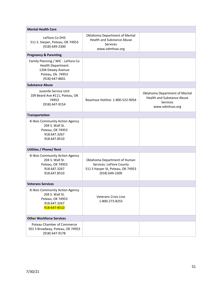| <b>Mental Health Care</b>                                                                                                  |                                                                                                                 |                                                                                                   |
|----------------------------------------------------------------------------------------------------------------------------|-----------------------------------------------------------------------------------------------------------------|---------------------------------------------------------------------------------------------------|
| LeFlore Co DHS<br>511 S. Harper, Poteau, OK 74953<br>(918) 649-2300                                                        | Oklahoma Department of Mental<br><b>Health and Substance Abuse</b><br>Services<br>www.odmhsas.org               |                                                                                                   |
| <b>Pregnancy &amp; Parenting</b>                                                                                           |                                                                                                                 |                                                                                                   |
| Family Planning / WIC - LeFlore Co<br><b>Health Department</b><br>1204 Dewey Avenue<br>Poteau, Ok. 74953<br>(918) 647-8601 |                                                                                                                 |                                                                                                   |
| <b>Substance Abuse</b>                                                                                                     |                                                                                                                 |                                                                                                   |
| Juvenile Service Unit<br>109 Beard Ave #111, Poteau, OK<br>74953<br>(918) 647-9154                                         | Reachout Hotline: 1-800-522-9054                                                                                | Oklahoma Department of Mental<br><b>Health and Substance Abuse</b><br>Services<br>www.odmhsas.org |
| <b>Transportation</b>                                                                                                      |                                                                                                                 |                                                                                                   |
| Ki Bois Community Action Agency<br>204 S. Wall St.<br>Poteau, OK 74953<br>918.647.3267<br>918.647.8510                     |                                                                                                                 |                                                                                                   |
| <b>Utilities / Phone/ Rent</b>                                                                                             |                                                                                                                 |                                                                                                   |
| Ki Bois Community Action Agency<br>204 S. Wall St.<br>Poteau, OK 74953<br>918.647.3267<br>918.647.8510                     | Oklahoma Department of Human<br>Services: LeFlore County<br>511 S Harper St, Poteau, OK 74953<br>(918) 649-2300 |                                                                                                   |
| <b>Veterans Services</b>                                                                                                   |                                                                                                                 |                                                                                                   |
| Ki Bois Community Action Agency<br>204 S. Wall St.<br>Poteau, OK 74953<br>918.647.3267<br>918-647-8510                     | <b>Veterans Crisis Line</b><br>1-800-273-8255                                                                   |                                                                                                   |
| <b>Other Workforce Services</b>                                                                                            |                                                                                                                 |                                                                                                   |
| Poteau Chamber of Commerce<br>501 S Broadway, Poteau, OK 74953<br>(918) 647-9178                                           |                                                                                                                 |                                                                                                   |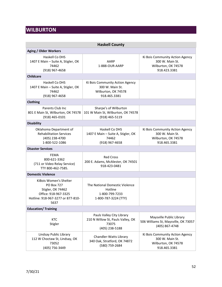## <span id="page-51-0"></span>**WILBURTON**

<span id="page-51-1"></span>

| <b>Haskell County</b>                                                                                                                 |                                                                                           |                                                                                           |  |
|---------------------------------------------------------------------------------------------------------------------------------------|-------------------------------------------------------------------------------------------|-------------------------------------------------------------------------------------------|--|
| <b>Aging / Older Workers</b>                                                                                                          |                                                                                           |                                                                                           |  |
| Haskell Co DHS<br>1407 E Main - Suite A, Stigler, OK<br>74462<br>(918) 967-4658                                                       | AARP<br>1-888-OUR-AARP                                                                    | Ki Bois Community Action Agency<br>300 W. Main St.<br>Wilburton, OK 74578<br>918.423.3381 |  |
| <b>Childcare</b>                                                                                                                      |                                                                                           |                                                                                           |  |
| Haskell Co DHS<br>1407 E Main - Suite A, Stigler, OK<br>74462<br>(918) 967-4658                                                       | Ki Bois Community Action Agency<br>300 W. Main St.<br>Wilburton, OK 74578<br>918.465.3381 |                                                                                           |  |
| Clothing                                                                                                                              |                                                                                           |                                                                                           |  |
| Parents Club Inc<br>801 E Main St, Wilburton, OK 74578<br>(918) 465-0101                                                              | Sharpe's of Wilburton<br>101 W Main St, Wilburton, OK 74578<br>(918) 465-5119             |                                                                                           |  |
| <b>Disability</b>                                                                                                                     |                                                                                           |                                                                                           |  |
| Oklahoma Department of<br><b>Rehabilitation Services</b><br>(405) 238-4700<br>1-800-522-1086                                          | Haskell Co DHS<br>1407 E Main - Suite A, Stigler, OK<br>74462<br>(918) 967-4658           | Ki Bois Community Action Agency<br>300 W. Main St.<br>Wilburton, OK 74578<br>918.465.3381 |  |
| <b>Disaster Services</b>                                                                                                              |                                                                                           |                                                                                           |  |
| <b>FEMA</b><br>800-621-3362<br>(711 or Video Relay Service)<br>TTY 800-462-7585.                                                      | <b>Red Cross</b><br>200 E. Adams, McAlester, OK 74501<br>918-423-0481                     |                                                                                           |  |
| <b>Domestic Violence</b>                                                                                                              |                                                                                           |                                                                                           |  |
| KiBois Women's Shelter<br><b>PO Box 727</b><br>Stigler, OK 74462<br>Office: 918-967-3325<br>Hotline: 918-967-3277 or 877-810-<br>5637 | The National Domestic Violence<br>Hotline<br>1-800-799-7233<br>1-800-787-3224 (TTY)       |                                                                                           |  |
| <b>Education/Training</b>                                                                                                             |                                                                                           |                                                                                           |  |
| <b>KTC</b><br>Stigler                                                                                                                 | Pauls Valley City Library<br>210 N Willow St, Pauls Valley, OK<br>73075<br>(405) 238-5188 | Maysville Public Library<br>506 Williams St, Maysville, OK 73057<br>(405) 867-4748        |  |
| Lindsay Public Library<br>112 W Choctaw St, Lindsay, OK<br>73052<br>(405) 756-3449                                                    | Chandler-Watts Library<br>340 Oak, Stratford, OK 74872<br>(580) 759-2684                  | Ki Bois Community Action Agency<br>300 W. Main St.<br>Wilburton, OK 74578<br>918.465.3381 |  |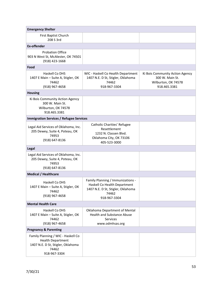| <b>Emergency Shelter</b>                                                                                                     |                                                                                                                                 |                                                                                           |
|------------------------------------------------------------------------------------------------------------------------------|---------------------------------------------------------------------------------------------------------------------------------|-------------------------------------------------------------------------------------------|
| First Baptist Church<br>208 S 3rd                                                                                            |                                                                                                                                 |                                                                                           |
| <b>Ex-offender</b>                                                                                                           |                                                                                                                                 |                                                                                           |
| <b>Probation Office</b><br>903 N West St, McAlester, OK 74501<br>(918) 423-1668                                              |                                                                                                                                 |                                                                                           |
| Food                                                                                                                         |                                                                                                                                 |                                                                                           |
| Haskell Co DHS<br>1407 E Main - Suite A, Stigler, OK<br>74462<br>(918) 967-4658                                              | WIC - Haskell Co Health Department<br>1407 N.E. D St, Stigler, Oklahoma<br>74462<br>918-967-3304                                | Ki Bois Community Action Agency<br>300 W. Main St.<br>Wilburton, OK 74578<br>918.465.3381 |
| <b>Housing</b>                                                                                                               |                                                                                                                                 |                                                                                           |
| Ki Bois Community Action Agency<br>300 W. Main St.<br>Wilburton, OK 74578<br>918.465.3381                                    |                                                                                                                                 |                                                                                           |
| <b>Immigration Services / Refugee Services</b>                                                                               |                                                                                                                                 |                                                                                           |
| Legal Aid Services of Oklahoma, Inc.<br>205 Dewey, Suite 4, Poteau, OK<br>74953<br>(918) 647-8136                            | Catholic Charities' Refugee<br>Resettlement<br>1232 N. Classen Blvd.<br>Oklahoma City, OK 73106<br>405-523-3000                 |                                                                                           |
| Legal                                                                                                                        |                                                                                                                                 |                                                                                           |
| Legal Aid Services of Oklahoma, Inc.<br>205 Dewey, Suite 4, Poteau, OK<br>74953<br>(918) 647-8136                            |                                                                                                                                 |                                                                                           |
| <b>Medical / Healthcare</b>                                                                                                  |                                                                                                                                 |                                                                                           |
| Haskell Co DHS<br>1407 E Main - Suite A, Stigler, OK<br>74462<br>(918) 967-4658                                              | Family Planning / Immunizations -<br>Haskell Co Health Department<br>1407 N.E. D St, Stigler, Oklahoma<br>74462<br>918-967-3304 |                                                                                           |
| <b>Mental Health Care</b>                                                                                                    |                                                                                                                                 |                                                                                           |
| Haskell Co DHS<br>1407 E Main - Suite A, Stigler, OK<br>74462<br>(918) 967-4658                                              | Oklahoma Department of Mental<br><b>Health and Substance Abuse</b><br><b>Services</b><br>www.odmhsas.org                        |                                                                                           |
| <b>Pregnancy &amp; Parenting</b>                                                                                             |                                                                                                                                 |                                                                                           |
| Family Planning / WIC - Haskell Co<br><b>Health Department</b><br>1407 N.E. D St, Stigler, Oklahoma<br>74462<br>918-967-3304 |                                                                                                                                 |                                                                                           |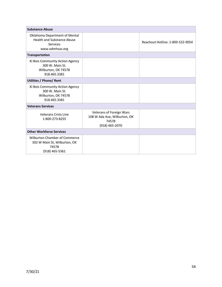| <b>Substance Abuse</b>                                                                                   |                                                                                     |                                  |
|----------------------------------------------------------------------------------------------------------|-------------------------------------------------------------------------------------|----------------------------------|
| Oklahoma Department of Mental<br><b>Health and Substance Abuse</b><br><b>Services</b><br>www.odmhsas.org |                                                                                     | Reachout Hotline: 1-800-522-9054 |
| <b>Transportation</b>                                                                                    |                                                                                     |                                  |
| Ki Bois Community Action Agency<br>300 W. Main St.<br>Wilburton, OK 74578<br>918.465.3381                |                                                                                     |                                  |
| <b>Utilities / Phone/ Rent</b>                                                                           |                                                                                     |                                  |
| Ki Bois Community Action Agency<br>300 W. Main St.<br>Wilburton, OK 74578<br>918.465.3381                |                                                                                     |                                  |
| <b>Veterans Services</b>                                                                                 |                                                                                     |                                  |
| Veterans Crisis Line<br>1-800-273-8255                                                                   | Veterans of Foreign Wars<br>108 W Ada Ave, Wilburton, OK<br>74578<br>(918) 465-2070 |                                  |
| <b>Other Workforce Services</b>                                                                          |                                                                                     |                                  |
| Wilburton Chamber of Commerce<br>302 W Main St, Wilburton, OK<br>74578<br>(918) 465-5361                 |                                                                                     |                                  |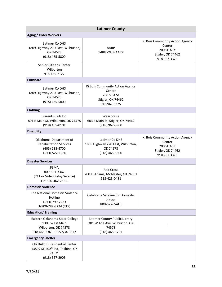<span id="page-54-0"></span>

| <b>Latimer County</b>                                                                                     |                                                                                               |                                                                                               |  |
|-----------------------------------------------------------------------------------------------------------|-----------------------------------------------------------------------------------------------|-----------------------------------------------------------------------------------------------|--|
| <b>Aging / Older Workers</b>                                                                              |                                                                                               |                                                                                               |  |
| Latimer Co DHS<br>1809 Highway 270 East, Wilburton,<br>OK 74578<br>(918) 465-5800                         | AARP<br>1-888-OUR-AARP                                                                        | Ki Bois Community Action Agency<br>Center<br>200 SE A St<br>Stigler, OK 74462<br>918.967.3325 |  |
| Senior Citizens Center<br>Wilburton<br>918-465-2122                                                       |                                                                                               |                                                                                               |  |
| <b>Childcare</b>                                                                                          |                                                                                               |                                                                                               |  |
| Latimer Co DHS<br>1809 Highway 270 East, Wilburton,<br>OK 74578<br>(918) 465-5800                         | Ki Bois Community Action Agency<br>Center<br>200 SE A St<br>Stigler, OK 74462<br>918.967.3325 |                                                                                               |  |
| Clothing                                                                                                  |                                                                                               |                                                                                               |  |
| Parents Club Inc<br>801 E Main St, Wilburton, OK 74578<br>(918) 465-0101                                  | Wearhouse<br>603 E Main St, Stigler, OK 74462<br>(918) 967-8900                               |                                                                                               |  |
| <b>Disability</b>                                                                                         |                                                                                               |                                                                                               |  |
| Oklahoma Department of<br><b>Rehabilitation Services</b><br>(405) 238-4700<br>1-800-522-1086              | Latimer Co DHS<br>1809 Highway 270 East, Wilburton,<br>OK 74578<br>$(918)$ 465-5800           | Ki Bois Community Action Agency<br>Center<br>200 SE A St<br>Stigler, OK 74462<br>918.967.3325 |  |
| <b>Disaster Services</b>                                                                                  |                                                                                               |                                                                                               |  |
| <b>FEMA</b><br>800-621-3362<br>(711 or Video Relay Service)<br>TTY 800-462-7585.                          | <b>Red Cross</b><br>200 E. Adams, McAlester, OK 74501<br>918-423-0481                         |                                                                                               |  |
| <b>Domestic Violence</b>                                                                                  |                                                                                               |                                                                                               |  |
| The National Domestic Violence<br>Hotline<br>1-800-799-7233<br>1-800-787-3224 (TTY)                       | Oklahoma Safeline for Domestic<br>Abuse<br>800-522- SAFE                                      |                                                                                               |  |
| <b>Education/ Training</b>                                                                                |                                                                                               |                                                                                               |  |
| Eastern Oklahoma State College<br>1301 West Main<br>Wilburton, OK 74578<br>918.465.2361 - 855-534-3672    | Latimer County Public Library<br>301 W Ada Ave, Wilburton, OK<br>74578<br>(918) 465-3751      | L                                                                                             |  |
| <b>Emergency Shelter</b>                                                                                  |                                                                                               |                                                                                               |  |
| Chi Hullo Li Residential Center<br>13597 SE 202 <sup>nd</sup> Rd, Talihina, OK<br>74571<br>(918) 567-2905 |                                                                                               |                                                                                               |  |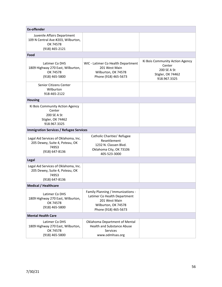| <b>Ex-offender</b>                                                                                |                                                                                                                                   |                                                                                               |
|---------------------------------------------------------------------------------------------------|-----------------------------------------------------------------------------------------------------------------------------------|-----------------------------------------------------------------------------------------------|
| Juvenile Affairs Department<br>109 N Central Ave #203, Wilburton,<br>OK 74578<br>(918) 465-2121   |                                                                                                                                   |                                                                                               |
| Food                                                                                              |                                                                                                                                   |                                                                                               |
| Latimer Co DHS<br>1809 Highway 270 East, Wilburton,<br>OK 74578<br>(918) 465-5800                 | WIC - Latimer Co Health Department<br>201 West Main<br>Wilburton, OK 74578<br>Phone (918) 465-5673                                | Ki Bois Community Action Agency<br>Center<br>200 SE A St<br>Stigler, OK 74462<br>918.967.3325 |
| Senior Citizens Center<br>Wilburton<br>918-465-2122                                               |                                                                                                                                   |                                                                                               |
| <b>Housing</b>                                                                                    |                                                                                                                                   |                                                                                               |
| Ki Bois Community Action Agency<br>Center<br>200 SE A St<br>Stigler, OK 74462<br>918.967.3325     |                                                                                                                                   |                                                                                               |
| <b>Immigration Services / Refugee Services</b>                                                    |                                                                                                                                   |                                                                                               |
| Legal Aid Services of Oklahoma, Inc.<br>205 Dewey, Suite 4, Poteau, OK<br>74953<br>(918) 647-8136 | Catholic Charities' Refugee<br>Resettlement<br>1232 N. Classen Blvd.<br>Oklahoma City, OK 73106<br>405-523-3000                   |                                                                                               |
| Legal                                                                                             |                                                                                                                                   |                                                                                               |
| Legal Aid Services of Oklahoma, Inc.<br>205 Dewey, Suite 4, Poteau, OK<br>74953<br>(918) 647-8136 |                                                                                                                                   |                                                                                               |
| <b>Medical / Healthcare</b>                                                                       |                                                                                                                                   |                                                                                               |
| Latimer Co DHS<br>1809 Highway 270 East, Wilburton,<br>OK 74578<br>(918) 465-5800                 | Family Planning / Immunizations -<br>Latimer Co Health Department<br>201 West Main<br>Wilburton, OK 74578<br>Phone (918) 465-5673 |                                                                                               |
| <b>Mental Health Care</b>                                                                         |                                                                                                                                   |                                                                                               |
| Latimer Co DHS<br>1809 Highway 270 East, Wilburton,<br>OK 74578<br>(918) 465-5800                 | Oklahoma Department of Mental<br><b>Health and Substance Abuse</b><br>Services<br>www.odmhsas.org                                 |                                                                                               |